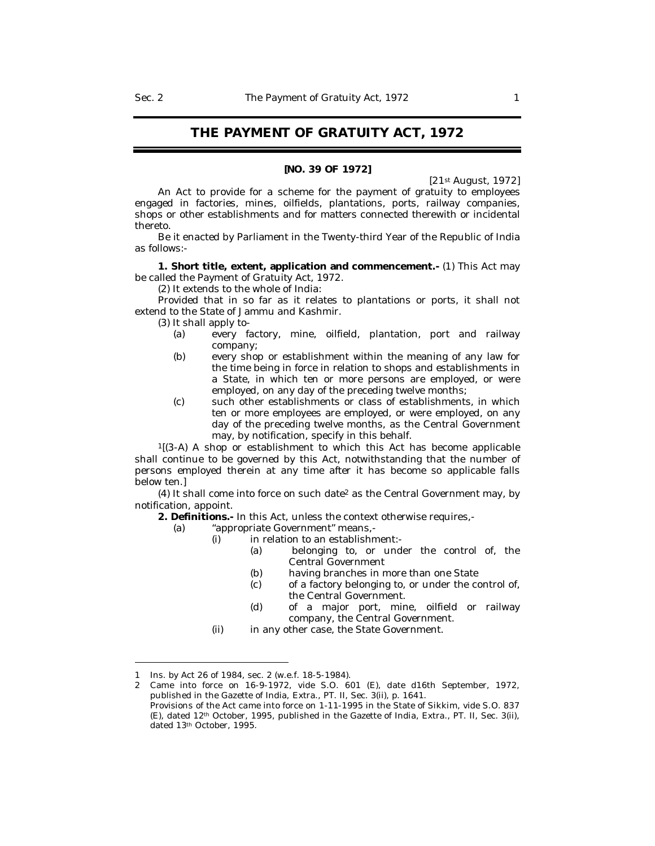# **THE PAYMENT OF GRATUITY ACT, 1972**

#### **[NO. 39 OF 1972]**

[21st August, 1972]

An Act to provide for a scheme for the payment of gratuity to employees engaged in factories, mines, oilfields, plantations, ports, railway companies, shops or other establishments and for matters connected therewith or incidental thereto.

Be it enacted by Parliament in the Twenty-third Year of the Republic of India as follows:-

**1. Short title, extent, application and commencement.-** (1) This Act may be called the Payment of Gratuity Act, 1972.

(2) It extends to the whole of India:

Provided that in so far as it relates to plantations or ports, it shall not extend to the State of Jammu and Kashmir.

- (3) It shall apply to-
	- (a) every factory, mine, oilfield, plantation, port and railway company;
	- (b) every shop or establishment within the meaning of any law for the time being in force in relation to shops and establishments in a State, in which ten or more persons are employed, or were employed, on any day of the preceding twelve months;
	- (c) such other establishments or class of establishments, in which ten or more employees are employed, or were employed, on any day of the preceding twelve months, as the Central Government may, by notification, specify in this behalf.

 $1[(3-A)$  A shop or establishment to which this Act has become applicable shall continue to be governed by this Act, notwithstanding that the number of persons employed therein at any time after it has become so applicable falls below ten.]

(4) It shall come into force on such date <sup>2</sup> as the Central Government may, by notification, appoint.

**2. Definitions.-** In this Act, unless the context otherwise requires,-

- (a) "appropriate Government" means,-
	- (i) in relation to an establishment:-
		- (a) belonging to, or under the control of, the Central Government
		- (b) having branches in more than one State
		- (c) of a factory belonging to, or under the control of, the Central Government.
		- (d) of a major port, mine, oilfield or railway company, the Central Government.
	- (ii) in any other case, the State Government.

<sup>1</sup> Ins. by Act 26 of 1984, sec. 2 (w.e.f. 18-5-1984).

<sup>2</sup> Came into force on 16-9-1972, vide S.O. 601 (E), date d16th September, 1972, published in the Gazette of India, Extra., PT. II, Sec. 3(ii), p. 1641.

Provisions of the Act came into force on 1-11-1995 in the State of Sikkim, vide S.O. 837 (E), dated 12th October, 1995, published in the Gazette of India, Extra., PT. II, Sec. 3(ii), dated 13th October, 1995.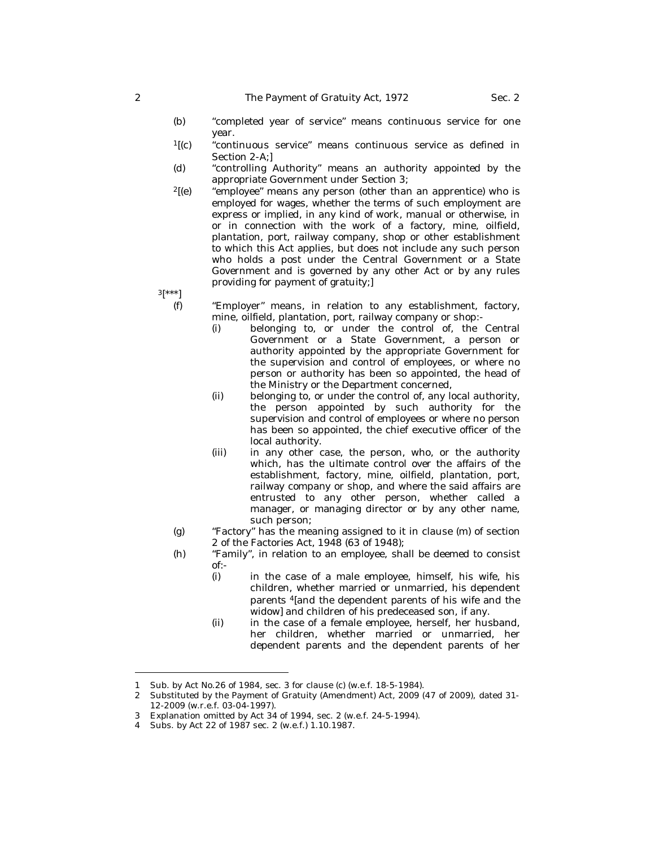- (b) "completed year of service" means continuous service for one year.
- <sup>1</sup>[(c) "continuous service" means continuous service as defined in Section 2-A;]
- (d) "controlling Authority" means an authority appointed by the appropriate Government under Section 3;
- $2[$ (e)  $\quad$  "employee" means any person (other than an apprentice) who is employed for wages, whether the terms of such employment are express or implied, in any kind of work, manual or otherwise, in or in connection with the work of a factory, mine, oilfield, plantation, port, railway company, shop or other establishment to which this Act applies, but does not include any such person who holds a post under the Central Government or a State Government and is governed by any other Act or by any rules providing for payment of gratuity;]

 $3[^{***}]$ 

- (f) "Employer" means, in relation to any establishment, factory, mine, oilfield, plantation, port, railway company or shop:-
	- (i) belonging to, or under the control of, the Central Government or a State Government, a person or authority appointed by the appropriate Government for the supervision and control of employees, or where no person or authority has been so appointed, the head of the Ministry or the Department concerned,
	- (ii) belonging to, or under the control of, any local authority, the person appointed by such authority for the supervision and control of employees or where no person has been so appointed, the chief executive officer of the local authority.
	- (iii) in any other case, the person, who, or the authority which, has the ultimate control over the affairs of the establishment, factory, mine, oilfield, plantation, port, railway company or shop, and where the said affairs are entrusted to any other person, whether called a manager, or managing director or by any other name, such person;
- (g) "Factory" has the meaning assigned to it in clause (m) of section 2 of the Factories Act, 1948 (63 of 1948);
- (h) "Family", in relation to an employee, shall be deemed to consist of:-
	- (i) in the case of a male employee, himself, his wife, his children, whether married or unmarried, his dependent parents <sup>4</sup>[and the dependent parents of his wife and the widow] and children of his predeceased son, if any.
	- (ii) in the case of a female employee, herself, her husband, her children, whether married or unmarried, her dependent parents and the dependent parents of her

<sup>1</sup> Sub. by Act No.26 of 1984, sec. 3 for clause (c) (w.e.f. 18-5-1984).

<sup>2</sup> Substituted by the Payment of Gratuity (Amendment) Act, 2009 (47 of 2009), dated 31- 12-2009 (w.r.e.f. 03-04-1997).

<sup>3</sup> Explanation omitted by Act 34 of 1994, sec. 2 (w.e.f. 24-5-1994).

<sup>4</sup> Subs. by Act 22 of 1987 sec. 2 (w.e.f.) 1.10.1987.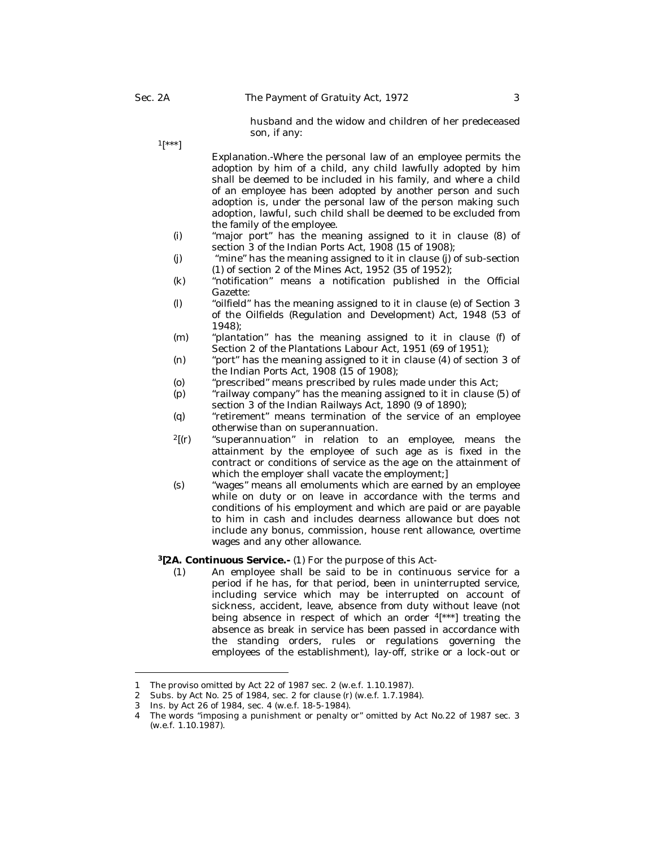husband and the widow and children of her predeceased son, if any:

 $1$ [\*\*\*]

*Explanation.-*Where the personal law of an employee permits the adoption by him of a child, any child lawfully adopted by him shall be deemed to be included in his family, and where a child of an employee has been adopted by another person and such adoption is, under the personal law of the person making such adoption, lawful, such child shall be deemed to be excluded from the family of the employee.

- (i) "major port" has the meaning assigned to it in clause (8) of section 3 of the Indian Ports Act, 1908 (15 of 1908);
- (j) "mine" has the meaning assigned to it in clause (j) of sub-section (1) of section 2 of the Mines Act, 1952 (35 of 1952);
- (k) "notification" means a notification published in the Official Gazette:
- (l) "oilfield" has the meaning assigned to it in clause (e) of Section 3 of the Oilfields (Regulation and Development) Act, 1948 (53 of 1948);
- (m) "plantation" has the meaning assigned to it in clause (f) of Section 2 of the Plantations Labour Act, 1951 (69 of 1951);
- (n) "port" has the meaning assigned to it in clause (4) of section 3 of the Indian Ports Act, 1908 (15 of 1908);
- (o) "prescribed" means prescribed by rules made under this Act;
- (p) "railway company" has the meaning assigned to it in clause (5) of section 3 of the Indian Railways Act, 1890 (9 of 1890);
- (q) "retirement" means termination of the service of an employee otherwise than on superannuation.
- $2[(r)$  "superannuation" in relation to an employee, means the attainment by the employee of such age as is fixed in the contract or conditions of service as the age on the attainment of which the employer shall vacate the employment;]
- (s) "wages" means all emoluments which are earned by an employee while on duty or on leave in accordance with the terms and conditions of his employment and which are paid or are payable to him in cash and includes dearness allowance but does not include any bonus, commission, house rent allowance, overtime wages and any other allowance.

## **<sup>3</sup>[2A. Continuous Service.-** (1) For the purpose of this Act-

(1) An employee shall be said to be in continuous service for a period if he has, for that period, been in uninterrupted service, including service which may be interrupted on account of sickness, accident, leave, absence from duty without leave (not being absence in respect of which an order <sup>4</sup>[\*\*\*] treating the absence as break in service has been passed in accordance with the standing orders, rules or regulations governing the employees of the establishment), lay-off, strike or a lock-out or

<sup>1</sup> The proviso omitted by Act 22 of 1987 sec. 2 (w.e.f. 1.10.1987).

<sup>2</sup> Subs. by Act No. 25 of 1984, sec. 2 for clause (r) (w.e.f. 1.7.1984).

<sup>3</sup> Ins. by Act 26 of 1984, sec. 4 (w.e.f. 18-5-1984).

<sup>4</sup> The words "imposing a punishment or penalty or" omitted by Act No.22 of 1987 sec. 3 (w.e.f. 1.10.1987).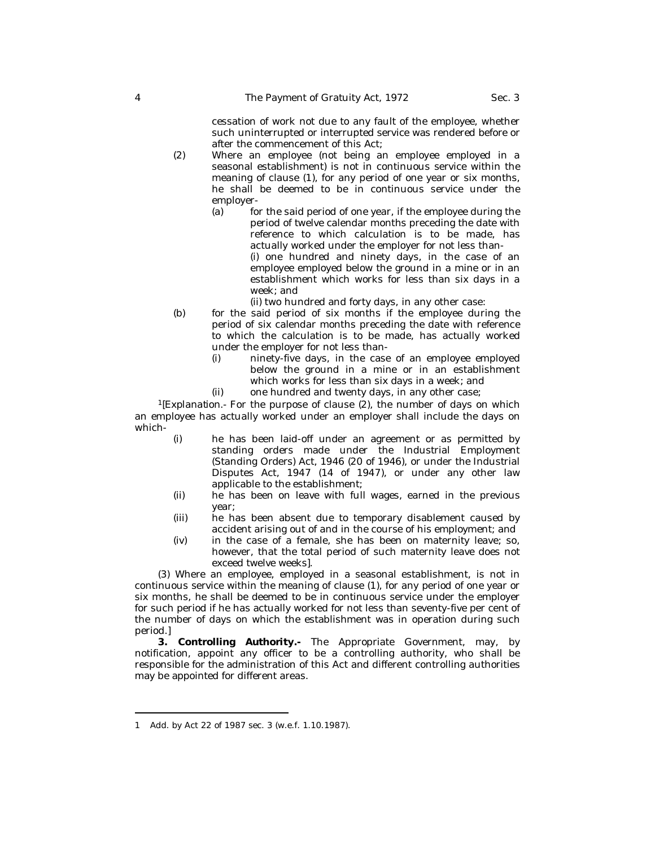cessation of work not due to any fault of the employee, whether such uninterrupted or interrupted service was rendered before or after the commencement of this Act;

- (2) Where an employee (not being an employee employed in a seasonal establishment) is not in continuous service within the meaning of clause (1), for any period of one year or six months, he shall be deemed to be in continuous service under the employer-
	- (a) for the said period of one year, if the employee during the period of twelve calendar months preceding the date with reference to which calculation is to be made, has actually worked under the employer for not less than-

(i) one hundred and ninety days, in the case of an employee employed below the ground in a mine or in an establishment which works for less than six days in a week; and

(ii) two hundred and forty days, in any other case:

- (b) for the said period of six months if the employee during the period of six calendar months preceding the date with reference to which the calculation is to be made, has actually worked under the employer for not less than-
	- (i) ninety-five days, in the case of an employee employed below the ground in a mine or in an establishment which works for less than six days in a week; and
	- (ii) one hundred and twenty days, in any other case;

*<sup>1</sup>[Explanation.-* For the purpose of clause (2), the number of days on which an employee has actually worked under an employer shall include the days on which-

- (i) he has been laid-off under an agreement or as permitted by standing orders made under the Industrial Employment (Standing Orders) Act, 1946 (20 of 1946), or under the Industrial Disputes Act, 1947 (14 of 1947), or under any other law applicable to the establishment;
- (ii) he has been on leave with full wages, earned in the previous year;
- (iii) he has been absent due to temporary disablement caused by accident arising out of and in the course of his employment; and
- (iv) in the case of a female, she has been on maternity leave; so, however, that the total period of such maternity leave does not exceed twelve weeks].

(3) Where an employee, employed in a seasonal establishment, is not in continuous service within the meaning of clause (1), for any period of one year or six months, he shall be deemed to be in continuous service under the employer for such period if he has actually worked for not less than seventy-five per cent of the number of days on which the establishment was in operation during such period.]

**3. Controlling Authority.-** The Appropriate Government, may, by notification, appoint any officer to be a controlling authority, who shall be responsible for the administration of this Act and different controlling authorities may be appointed for different areas.

<sup>1</sup> Add. by Act 22 of 1987 sec. 3 (w.e.f. 1.10.1987).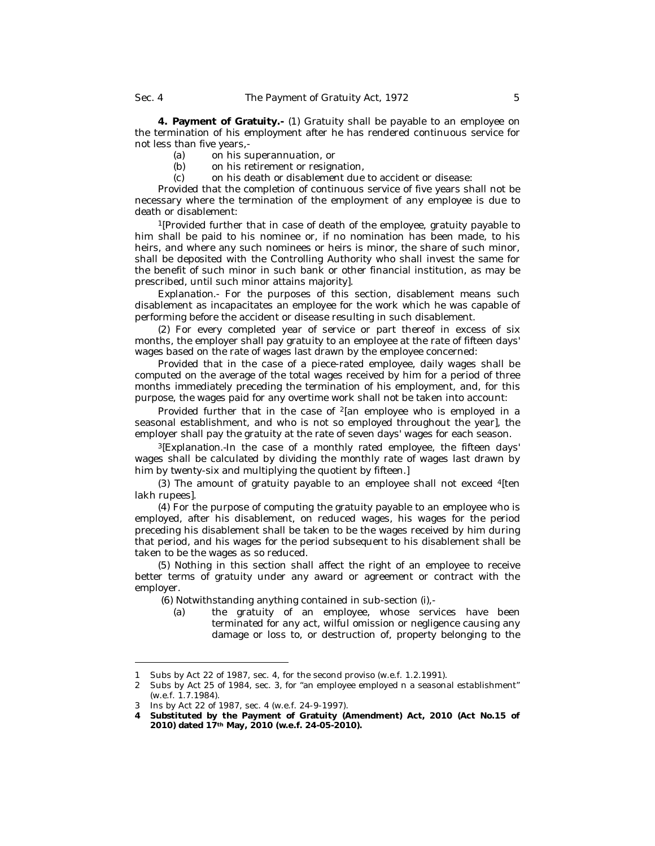**4. Payment of Gratuity.-** (1) Gratuity shall be payable to an employee on the termination of his employment after he has rendered continuous service for not less than five years,-

- (a) on his superannuation, or<br>(b) on his retirement or resign
- on his retirement or resignation,
- (c) on his death or disablement due to accident or disease:

Provided that the completion of continuous service of five years shall not be necessary where the termination of the employment of any employee is due to death or disablement:

<sup>1</sup>[Provided further that in case of death of the employee, gratuity payable to him shall be paid to his nominee or, if no nomination has been made, to his heirs, and where any such nominees or heirs is minor, the share of such minor, shall be deposited with the Controlling Authority who shall invest the same for the benefit of such minor in such bank or other financial institution, as may be prescribed, until such minor attains majority].

*Explanation.-* For the purposes of this section, disablement means such disablement as incapacitates an employee for the work which he was capable of performing before the accident or disease resulting in such disablement.

(2) For every completed year of service or part thereof in excess of six months, the employer shall pay gratuity to an employee at the rate of fifteen days' wages based on the rate of wages last drawn by the employee concerned:

Provided that in the case of a piece-rated employee, daily wages shall be computed on the average of the total wages received by him for a period of three months immediately preceding the termination of his employment, and, for this purpose, the wages paid for any overtime work shall not be taken into account:

Provided further that in the case of <sup>2</sup>[an employee who is employed in a seasonal establishment, and who is not so employed throughout the year], the employer shall pay the gratuity at the rate of seven days' wages for each season.

*<sup>3</sup>[Explanation.-*In the case of a monthly rated employee, the fifteen days' wages shall be calculated by dividing the monthly rate of wages last drawn by him by twenty-six and multiplying the quotient by fifteen.]

(3) The amount of gratuity payable to an employee shall not exceed <sup>4</sup>[ten lakh rupees].

(4) For the purpose of computing the gratuity payable to an employee who is employed, after his disablement, on reduced wages, his wages for the period preceding his disablement shall be taken to be the wages received by him during that period, and his wages for the period subsequent to his disablement shall be taken to be the wages as so reduced.

(5) Nothing in this section shall affect the right of an employee to receive better terms of gratuity under any award or agreement or contract with the employer.

(6) Notwithstanding anything contained in sub-section (i),-

(a) the gratuity of an employee, whose services have been terminated for any act, wilful omission or negligence causing any damage or loss to, or destruction of, property belonging to the

<sup>1</sup> Subs by Act 22 of 1987, sec. 4, for the second proviso (w.e.f. 1.2.1991).

<sup>2</sup> Subs by Act 25 of 1984, sec. 3, for "an employee employed n a seasonal establishment" (w.e.f. 1.7.1984).

<sup>3</sup> Ins by Act 22 of 1987, sec. 4 (w.e.f. 24-9-1997).

**<sup>4</sup> Substituted by the Payment of Gratuity (Amendment) Act, 2010 (Act No.15 of 2010) dated 17th May, 2010 (w.e.f. 24-05-2010).**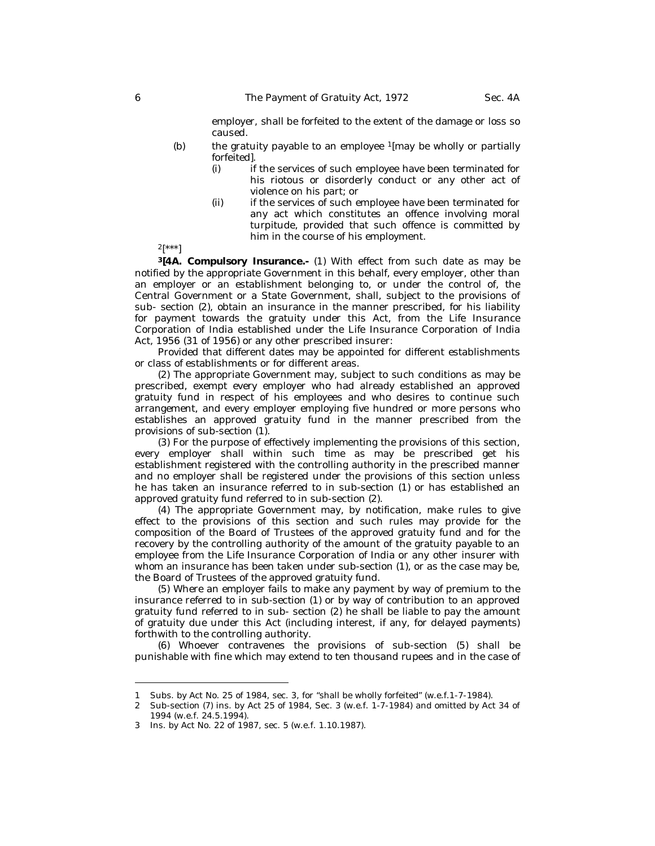employer, shall be forfeited to the extent of the damage or loss so caused.

- (b) the gratuity payable to an employee <sup>1</sup>[may be wholly or partially forfeited].
	- (i) if the services of such employee have been terminated for his riotous or disorderly conduct or any other act of violence on his part; or
	- (ii) if the services of such employee have been terminated for any act which constitutes an offence involving moral turpitude, provided that such offence is committed by him in the course of his employment.

 $2[***!]$ 

**<sup>3</sup>[4A. Compulsory Insurance.-** (1) With effect from such date as may be notified by the appropriate Government in this behalf, every employer, other than an employer or an establishment belonging to, or under the control of, the Central Government or a State Government, shall, subject to the provisions of sub- section (2), obtain an insurance in the manner prescribed, for his liability for payment towards the gratuity under this Act, from the Life Insurance Corporation of India established under the Life Insurance Corporation of India Act, 1956 (31 of 1956) or any other prescribed insurer:

Provided that different dates may be appointed for different establishments or class of establishments or for different areas.

(2) The appropriate Government may, subject to such conditions as may be prescribed, exempt every employer who had already established an approved gratuity fund in respect of his employees and who desires to continue such arrangement, and every employer employing five hundred or more persons who establishes an approved gratuity fund in the manner prescribed from the provisions of sub-section (1).

(3) For the purpose of effectively implementing the provisions of this section, every employer shall within such time as may be prescribed get his establishment registered with the controlling authority in the prescribed manner and no employer shall be registered under the provisions of this section unless he has taken an insurance referred to in sub-section (1) or has established an approved gratuity fund referred to in sub-section (2).

(4) The appropriate Government may, by notification, make rules to give effect to the provisions of this section and such rules may provide for the composition of the Board of Trustees of the approved gratuity fund and for the recovery by the controlling authority of the amount of the gratuity payable to an employee from the Life Insurance Corporation of India or any other insurer with whom an insurance has been taken under sub-section (1), or as the case may be, the Board of Trustees of the approved gratuity fund.

(5) Where an employer fails to make any payment by way of premium to the insurance referred to in sub-section (1) or by way of contribution to an approved gratuity fund referred to in sub- section (2) he shall be liable to pay the amount of gratuity due under this Act (including interest, if any, for delayed payments) forthwith to the controlling authority.

(6) Whoever contravenes the provisions of sub-section (5) shall be punishable with fine which may extend to ten thousand rupees and in the case of

<sup>1</sup> Subs. by Act No. 25 of 1984, sec. 3, for "shall be wholly forfeited" (w.e.f.1-7-1984).

<sup>2</sup> Sub-section (7) ins. by Act 25 of 1984, Sec. 3 (w.e.f. 1-7-1984) and omitted by Act 34 of 1994 (w.e.f. 24.5.1994).

<sup>3</sup> Ins. by Act No. 22 of 1987, sec. 5 (w.e.f. 1.10.1987).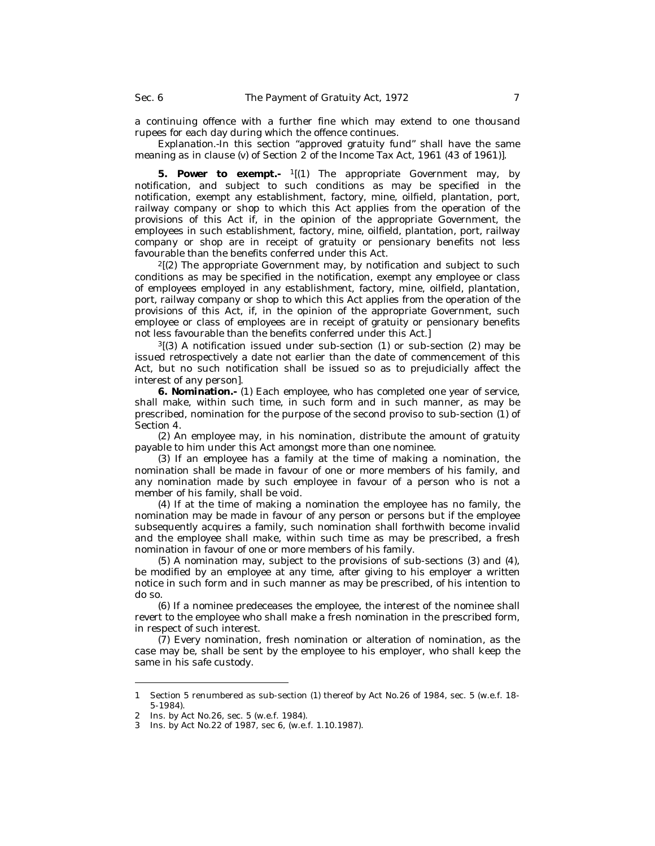a continuing offence with a further fine which may extend to one thousand rupees for each day during which the offence continues.

*Explanation.-*In this section "approved gratuity fund" shall have the same meaning as in clause (v) of Section 2 of the Income Tax Act, 1961 (43 of 1961)].

**5. Power to exempt.-** <sup>1</sup>[(1) The appropriate Government may, by notification, and subject to such conditions as may be specified in the notification, exempt any establishment, factory, mine, oilfield, plantation, port, railway company or shop to which this Act applies from the operation of the provisions of this Act if, in the opinion of the appropriate Government, the employees in such establishment, factory, mine, oilfield, plantation, port, railway company or shop are in receipt of gratuity or pensionary benefits not less favourable than the benefits conferred under this Act.

 $<sup>2</sup>$ [(2) The appropriate Government may, by notification and subject to such</sup> conditions as may be specified in the notification, exempt any employee or class of employees employed in any establishment, factory, mine, oilfield, plantation, port, railway company or shop to which this Act applies from the operation of the provisions of this Act, if, in the opinion of the appropriate Government, such employee or class of employees are in receipt of gratuity or pensionary benefits not less favourable than the benefits conferred under this Act.]

 $3$ [(3) A notification issued under sub-section (1) or sub-section (2) may be issued retrospectively a date not earlier than the date of commencement of this Act, but no such notification shall be issued so as to prejudicially affect the interest of any person].

**6. Nomination.-** (1) Each employee, who has completed one year of service, shall make, within such time, in such form and in such manner, as may be prescribed, nomination for the purpose of the second proviso to sub-section (1) of Section 4.

(2) An employee may, in his nomination, distribute the amount of gratuity payable to him under this Act amongst more than one nominee.

(3) If an employee has a family at the time of making a nomination, the nomination shall be made in favour of one or more members of his family, and any nomination made by such employee in favour of a person who is not a member of his family, shall be void.

(4) If at the time of making a nomination the employee has no family, the nomination may be made in favour of any person or persons but if the employee subsequently acquires a family, such nomination shall forthwith become invalid and the employee shall make, within such time as may be prescribed, a fresh nomination in favour of one or more members of his family.

(5) A nomination may, subject to the provisions of sub-sections (3) and (4), be modified by an employee at any time, after giving to his employer a written notice in such form and in such manner as may be prescribed, of his intention to do so.

(6) If a nominee predeceases the employee, the interest of the nominee shall revert to the employee who shall make a fresh nomination in the prescribed form, in respect of such interest.

(7) Every nomination, fresh nomination or alteration of nomination, as the case may be, shall be sent by the employee to his employer, who shall keep the same in his safe custody.

<sup>1</sup> Section 5 renumbered as sub-section (1) thereof by Act No.26 of 1984, sec. 5 (w.e.f. 18- 5-1984).

<sup>2</sup> Ins. by Act No.26, sec. 5 (w.e.f. 1984).

<sup>3</sup> Ins. by Act No.22 of 1987, sec 6, (w.e.f. 1.10.1987).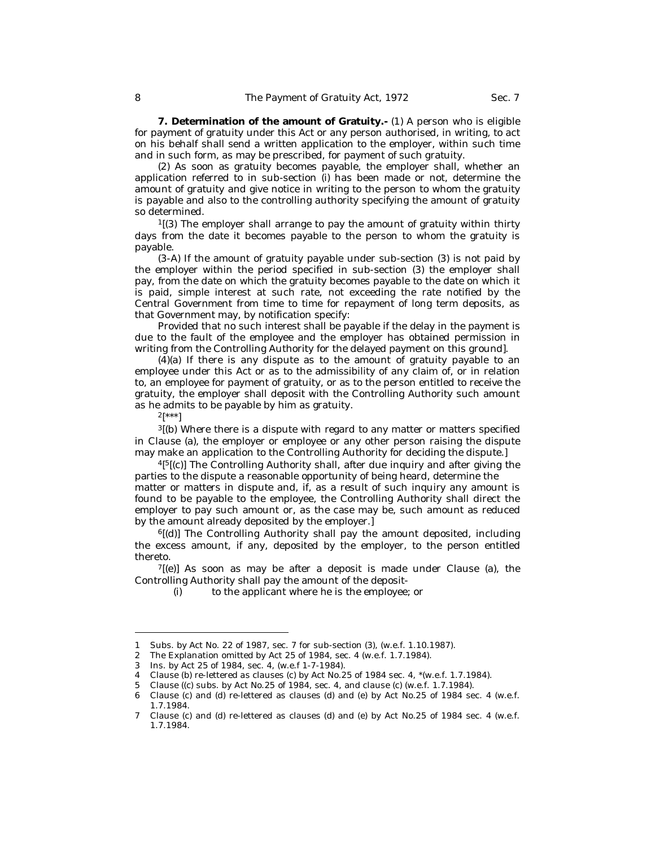**7. Determination of the amount of Gratuity.-** (1) A person who is eligible for payment of gratuity under this Act or any person authorised, in writing, to act on his behalf shall send a written application to the employer, within such time and in such form, as may be prescribed, for payment of such gratuity.

(2) As soon as gratuity becomes payable, the employer shall, whether an application referred to in sub-section (i) has been made or not, determine the amount of gratuity and give notice in writing to the person to whom the gratuity is payable and also to the controlling authority specifying the amount of gratuity so determined.

<sup>1</sup>[(3) The employer shall arrange to pay the amount of gratuity within thirty days from the date it becomes payable to the person to whom the gratuity is payable.

(3-A) If the amount of gratuity payable under sub-section (3) is not paid by the employer within the period specified in sub-section (3) the employer shall pay, from the date on which the gratuity becomes payable to the date on which it is paid, simple interest at such rate, not exceeding the rate notified by the Central Government from time to time for repayment of long term deposits, as that Government may, by notification specify:

Provided that no such interest shall be payable if the delay in the payment is due to the fault of the employee and the employer has obtained permission in writing from the Controlling Authority for the delayed payment on this ground].

(4)(a) If there is any dispute as to the amount of gratuity payable to an employee under this Act or as to the admissibility of any claim of, or in relation to, an employee for payment of gratuity, or as to the person entitled to receive the gratuity, the employer shall deposit with the Controlling Authority such amount as he admits to be payable by him as gratuity.

 $2[^{***}]$ 

 $3[$ (b) Where there is a dispute with regard to any matter or matters specified in Clause (a), the employer or employee or any other person raising the dispute may make an application to the Controlling Authority for deciding the dispute.]

<sup>4[5</sup>[(c)] The Controlling Authority shall, after due inquiry and after giving the parties to the dispute a reasonable opportunity of being heard, determine the matter or matters in dispute and, if, as a result of such inquiry any amount is found to be payable to the employee, the Controlling Authority shall direct the employer to pay such amount or, as the case may be, such amount as reduced by the amount already deposited by the employer.]

<sup>6</sup>[(d)] The Controlling Authority shall pay the amount deposited, including the excess amount, if any, deposited by the employer, to the person entitled thereto.

 $7$ [(e)] As soon as may be after a deposit is made under Clause (a), the Controlling Authority shall pay the amount of the deposit-

<sup>(</sup>i) to the applicant where he is the employee; or

<sup>1</sup> Subs. by Act No. 22 of 1987, sec. 7 for sub-section (3), (w.e.f. 1.10.1987).

<sup>2</sup> The Explanation omitted by Act 25 of 1984, sec. 4 (w.e.f. 1.7.1984).

<sup>3</sup> Ins. by Act 25 of 1984, sec. 4, (w.e.f 1-7-1984).

<sup>4</sup> Clause (b) re-lettered as clauses (c) by Act No.25 of 1984 sec. 4, \*(w.e.f. 1.7.1984).

<sup>5</sup> Clause ((c) subs. by Act No.25 of 1984, sec. 4, and clause (c) (w.e.f. 1.7.1984).

<sup>6</sup> Clause (c) and (d) re-lettered as clauses (d) and (e) by Act No.25 of 1984 sec. 4 (w.e.f. 1.7.1984.

<sup>7</sup> Clause (c) and (d) re-lettered as clauses (d) and (e) by Act No.25 of 1984 sec. 4 (w.e.f. 1.7.1984.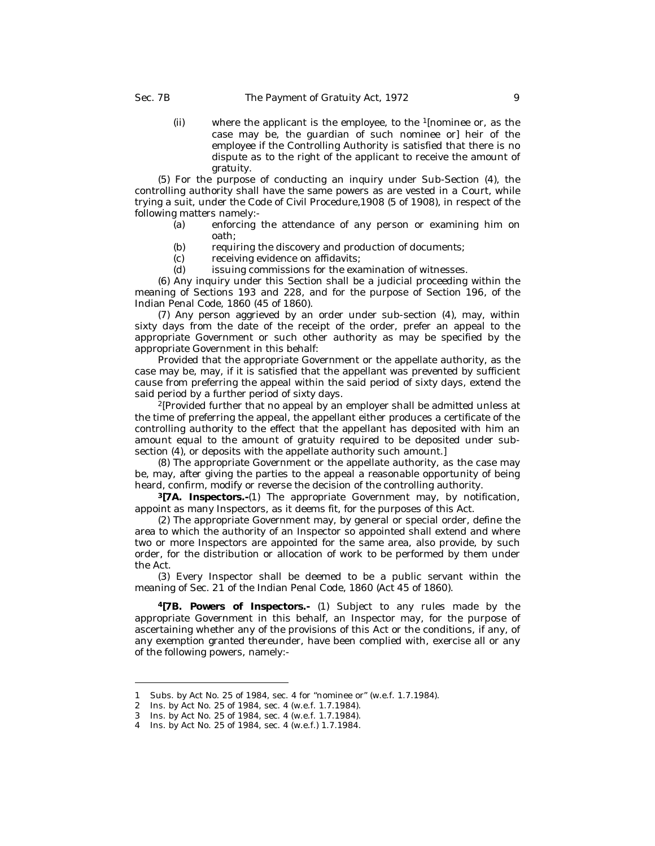(ii) where the applicant is the employee, to the <sup>1</sup>[nominee or, as the case may be, the guardian of such nominee or] heir of the employee if the Controlling Authority is satisfied that there is no dispute as to the right of the applicant to receive the amount of gratuity.

(5) For the purpose of conducting an inquiry under Sub-Section (4), the controlling authority shall have the same powers as are vested in a Court, while trying a suit, under the Code of Civil Procedure,1908 (5 of 1908), in respect of the following matters namely:-

- (a) enforcing the attendance of any person or examining him on oath;
- (b) requiring the discovery and production of documents;<br>(c) receiving evidence on affidavits;
- receiving evidence on affidavits;
- (d) issuing commissions for the examination of witnesses.

(6) Any inquiry under this Section shall be a judicial proceeding within the meaning of Sections 193 and 228, and for the purpose of Section 196, of the Indian Penal Code, 1860 (45 of 1860).

(7) Any person aggrieved by an order under sub-section (4), may, within sixty days from the date of the receipt of the order, prefer an appeal to the appropriate Government or such other authority as may be specified by the appropriate Government in this behalf:

Provided that the appropriate Government or the appellate authority, as the case may be, may, if it is satisfied that the appellant was prevented by sufficient cause from preferring the appeal within the said period of sixty days, extend the said period by a further period of sixty days.

<sup>2</sup>[Provided further that no appeal by an employer shall be admitted unless at the time of preferring the appeal, the appellant either produces a certificate of the controlling authority to the effect that the appellant has deposited with him an amount equal to the amount of gratuity required to be deposited under subsection (4), or deposits with the appellate authority such amount.]

(8) The appropriate Government or the appellate authority, as the case may be, may, after giving the parties to the appeal a reasonable opportunity of being heard, confirm, modify or reverse the decision of the controlling authority.

**<sup>3</sup>[7A. Inspectors.-**(1) The appropriate Government may, by notification, appoint as many Inspectors, as it deems fit, for the purposes of this Act.

(2) The appropriate Government may, by general or special order, define the area to which the authority of an Inspector so appointed shall extend and where two or more Inspectors are appointed for the same area, also provide, by such order, for the distribution or allocation of work to be performed by them under the Act.

(3) Every Inspector shall be deemed to be a public servant within the meaning of Sec. 21 of the Indian Penal Code, 1860 (Act 45 of 1860).

**<sup>4</sup>[7B. Powers of Inspectors.-** (1) Subject to any rules made by the appropriate Government in this behalf, an Inspector may, for the purpose of ascertaining whether any of the provisions of this Act or the conditions, if any, of any exemption granted thereunder, have been complied with, exercise all or any of the following powers, namely:-

<sup>1</sup> Subs. by Act No. 25 of 1984, sec. 4 for "nominee or" (w.e.f. 1.7.1984).

<sup>2</sup> Ins. by Act No. 25 of 1984, sec. 4 (w.e.f. 1.7.1984).

<sup>3</sup> Ins. by Act No. 25 of 1984, sec. 4 (w.e.f. 1.7.1984).

<sup>4</sup> Ins. by Act No. 25 of 1984, sec. 4 (w.e.f.) 1.7.1984.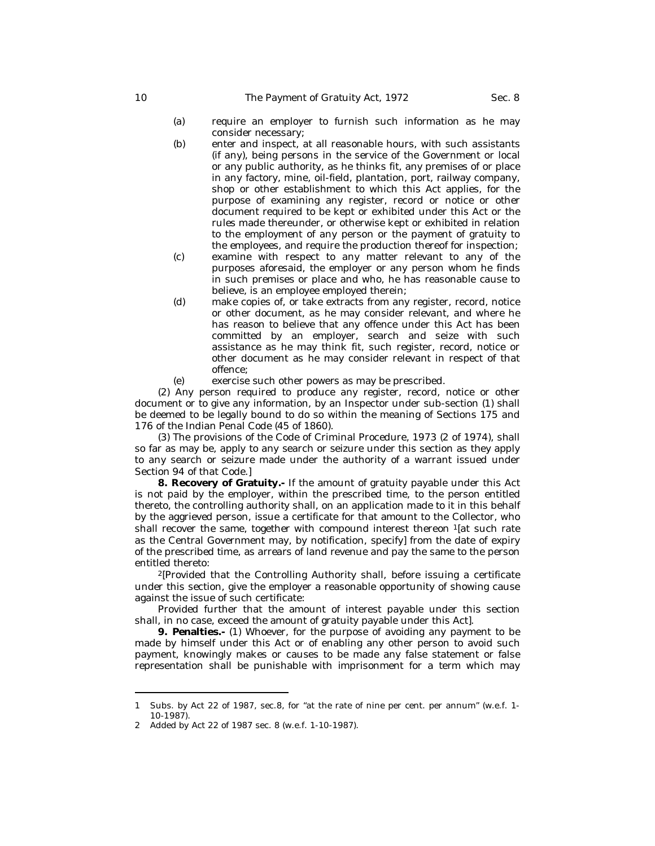- 
- (a) require an employer to furnish such information as he may consider necessary;
- (b) enter and inspect, at all reasonable hours, with such assistants (if any), being persons in the service of the Government or local or any public authority, as he thinks fit, any premises of or place in any factory, mine, oil-field, plantation, port, railway company, shop or other establishment to which this Act applies, for the purpose of examining any register, record or notice or other document required to be kept or exhibited under this Act or the rules made thereunder, or otherwise kept or exhibited in relation to the employment of any person or the payment of gratuity to the employees, and require the production thereof for inspection;
- (c) examine with respect to any matter relevant to any of the purposes aforesaid, the employer or any person whom he finds in such premises or place and who, he has reasonable cause to believe, is an employee employed therein;
- (d) make copies of, or take extracts from any register, record, notice or other document, as he may consider relevant, and where he has reason to believe that any offence under this Act has been committed by an employer, search and seize with such assistance as he may think fit, such register, record, notice or other document as he may consider relevant in respect of that offence;
- (e) exercise such other powers as may be prescribed.

(2) Any person required to produce any register, record, notice or other document or to give any information, by an Inspector under sub-section (1) shall be deemed to be legally bound to do so within the meaning of Sections 175 and 176 of the Indian Penal Code (45 of 1860).

(3) The provisions of the Code of Criminal Procedure, 1973 (2 of 1974), shall so far as may be, apply to any search or seizure under this section as they apply to any search or seizure made under the authority of a warrant issued under Section 94 of that Code.]

**8. Recovery of Gratuity.-** If the amount of gratuity payable under this Act is not paid by the employer, within the prescribed time, to the person entitled thereto, the controlling authority shall, on an application made to it in this behalf by the aggrieved person, issue a certificate for that amount to the Collector, who shall recover the same, together with compound interest thereon <sup>1</sup>[at such rate as the Central Government may, by notification, specify] from the date of expiry of the prescribed time, as arrears of land revenue and pay the same to the person entitled thereto:

<sup>2</sup>[Provided that the Controlling Authority shall, before issuing a certificate under this section, give the employer a reasonable opportunity of showing cause against the issue of such certificate:

Provided further that the amount of interest payable under this section shall, in no case, exceed the amount of gratuity payable under this Act].

**9. Penalties.-** (1) Whoever, for the purpose of avoiding any payment to be made by himself under this Act or of enabling any other person to avoid such payment, knowingly makes or causes to be made any false statement or false representation shall be punishable with imprisonment for a term which may

<sup>1</sup> Subs. by Act 22 of 1987, sec.8, for "at the rate of nine per cent. per annum" (w.e.f. 1- 10-1987).

<sup>2</sup> Added by Act 22 of 1987 sec. 8 (w.e.f. 1-10-1987).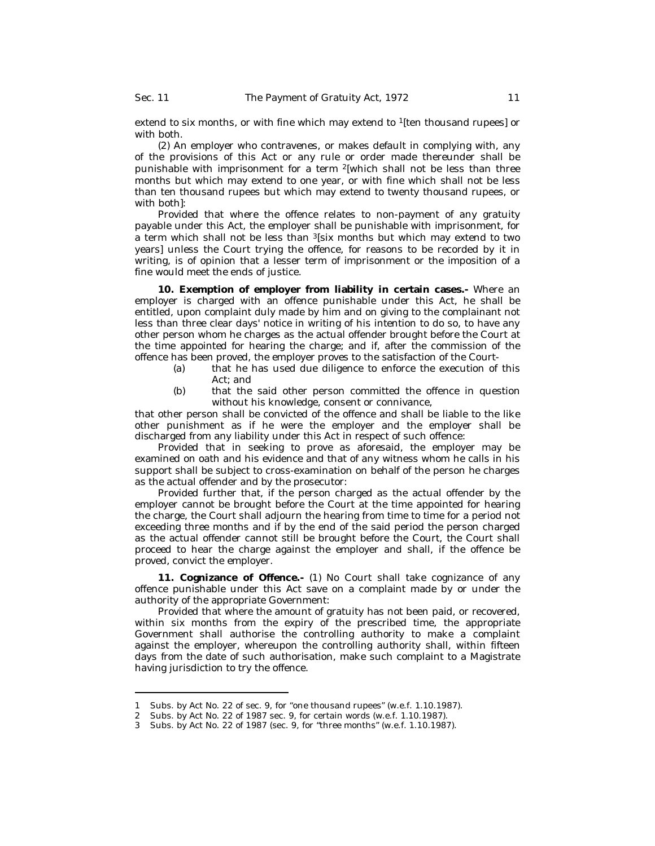extend to six months, or with fine which may extend to <sup>1</sup>[ten thousand rupees] or with both.

(2) An employer who contravenes, or makes default in complying with, any of the provisions of this Act or any rule or order made thereunder shall be punishable with imprisonment for a term <sup>2</sup>[which shall not be less than three months but which may extend to one year, or with fine which shall not be less than ten thousand rupees but which may extend to twenty thousand rupees, or with both]:

Provided that where the offence relates to non-payment of any gratuity payable under this Act, the employer shall be punishable with imprisonment, for a term which shall not be less than <sup>3</sup>[six months but which may extend to two years] unless the Court trying the offence, for reasons to be recorded by it in writing, is of opinion that a lesser term of imprisonment or the imposition of a fine would meet the ends of justice.

**10. Exemption of employer from liability in certain cases.-** Where an employer is charged with an offence punishable under this Act, he shall be entitled, upon complaint duly made by him and on giving to the complainant not less than three clear days' notice in writing of his intention to do so, to have any other person whom he charges as the actual offender brought before the Court at the time appointed for hearing the charge; and if, after the commission of the offence has been proved, the employer proves to the satisfaction of the Court-

- (a) that he has used due diligence to enforce the execution of this Act; and
- (b) that the said other person committed the offence in question without his knowledge, consent or connivance.

that other person shall be convicted of the offence and shall be liable to the like other punishment as if he were the employer and the employer shall be discharged from any liability under this Act in respect of such offence:

Provided that in seeking to prove as aforesaid, the employer may be examined on oath and his evidence and that of any witness whom he calls in his support shall be subject to cross-examination on behalf of the person he charges as the actual offender and by the prosecutor:

Provided further that, if the person charged as the actual offender by the employer cannot be brought before the Court at the time appointed for hearing the charge, the Court shall adjourn the hearing from time to time for a period not exceeding three months and if by the end of the said period the person charged as the actual offender cannot still be brought before the Court, the Court shall proceed to hear the charge against the employer and shall, if the offence be proved, convict the employer.

**11. Cognizance of Offence.-** (1) No Court shall take cognizance of any offence punishable under this Act save on a complaint made by or under the authority of the appropriate Government:

Provided that where the amount of gratuity has not been paid, or recovered, within six months from the expiry of the prescribed time, the appropriate Government shall authorise the controlling authority to make a complaint against the employer, whereupon the controlling authority shall, within fifteen days from the date of such authorisation, make such complaint to a Magistrate having jurisdiction to try the offence.

<sup>1</sup> Subs. by Act No. 22 of sec. 9, for "one thousand rupees" (w.e.f. 1.10.1987).

<sup>2</sup> Subs. by Act No. 22 of 1987 sec. 9, for certain words (w.e.f. 1.10.1987).

<sup>3</sup> Subs. by Act No. 22 of 1987 (sec. 9, for "three months" (w.e.f. 1.10.1987).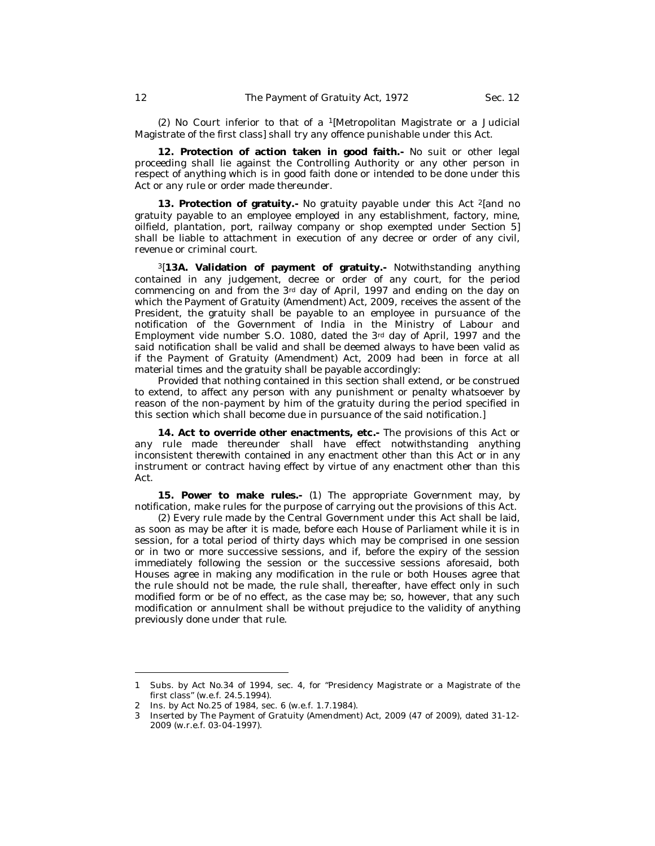(2) No Court inferior to that of a <sup>1</sup>[Metropolitan Magistrate or a Judicial Magistrate of the first class] shall try any offence punishable under this Act.

**12. Protection of action taken in good faith.-** No suit or other legal proceeding shall lie against the Controlling Authority or any other person in respect of anything which is in good faith done or intended to be done under this Act or any rule or order made thereunder.

**13. Protection of gratuity.-** No gratuity payable under this Act <sup>2</sup>[and no gratuity payable to an employee employed in any establishment, factory, mine, oilfield, plantation, port, railway company or shop exempted under Section 5] shall be liable to attachment in execution of any decree or order of any civil, revenue or criminal court.

<sup>3</sup>[**13A. Validation of payment of gratuity.-** Notwithstanding anything contained in any judgement, decree or order of any court, for the period commencing on and from the 3rd day of April, 1997 and ending on the day on which the Payment of Gratuity (Amendment) Act, 2009, receives the assent of the President, the gratuity shall be payable to an employee in pursuance of the notification of the Government of India in the Ministry of Labour and Employment *vide* number S.O. 1080, dated the 3rd day of April, 1997 and the said notification shall be valid and shall be deemed always to have been valid as if the Payment of Gratuity (Amendment) Act, 2009 had been in force at all material times and the gratuity shall be payable accordingly:

Provided that nothing contained in this section shall extend, or be construed to extend, to affect any person with any punishment or penalty whatsoever by reason of the non-payment by him of the gratuity during the period specified in this section which shall become due in pursuance of the said notification.]

**14. Act to override other enactments, etc.-** The provisions of this Act or any rule made thereunder shall have effect notwithstanding anything inconsistent therewith contained in any enactment other than this Act or in any instrument or contract having effect by virtue of any enactment other than this Act.

**15. Power to make rules.-** (1) The appropriate Government may, by notification, make rules for the purpose of carrying out the provisions of this Act.

(2) Every rule made by the Central Government under this Act shall be laid, as soon as may be after it is made, before each House of Parliament while it is in session, for a total period of thirty days which may be comprised in one session or in two or more successive sessions, and if, before the expiry of the session immediately following the session or the successive sessions aforesaid, both Houses agree in making any modification in the rule or both Houses agree that the rule should not be made, the rule shall, thereafter, have effect only in such modified form or be of no effect, as the case may be; so, however, that any such modification or annulment shall be without prejudice to the validity of anything previously done under that rule.

<sup>1</sup> Subs. by Act No.34 of 1994, sec. 4, for "Presidency Magistrate or a Magistrate of the first class" (w.e.f. 24.5.1994).

<sup>2</sup> Ins. by Act No.25 of 1984, sec. 6 (w.e.f. 1.7.1984).

<sup>3</sup> Inserted by The Payment of Gratuity (Amendment) Act, 2009 (47 of 2009), dated 31-12- 2009 (w.r.e.f. 03-04-1997).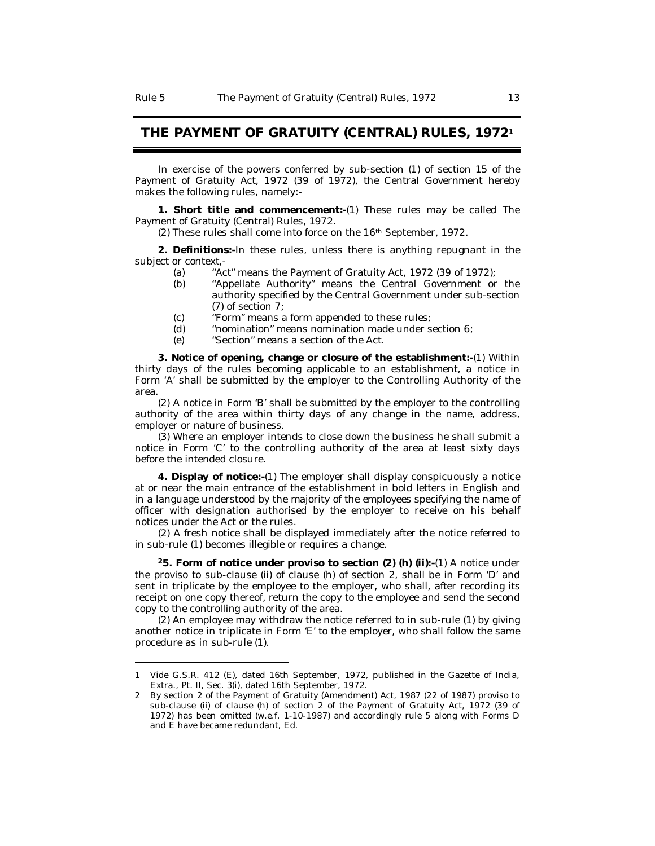# **THE PAYMENT OF GRATUITY (CENTRAL) RULES, 1972<sup>1</sup>**

In exercise of the powers conferred by sub-section (1) of section 15 of the Payment of Gratuity Act, 1972 (39 of 1972), the Central Government hereby makes the following rules, namely:-

**1. Short title and commencement:-**(1) These rules may be called The Payment of Gratuity (Central) Rules, 1972.

(2) These rules shall come into force on the 16th September, 1972.

**2. Definitions:-**In these rules, unless there is anything repugnant in the subject or context,-

- (a) "Act" means the Payment of Gratuity Act, 1972 (39 of 1972);
- (b) "Appellate Authority" means the Central Government or the authority specified by the Central Government under sub-section (7) of section 7;
- (c) "Form" means a form appended to these rules;
- (d) "nomination" means nomination made under section 6;
- (e) "Section" means a section of the Act.

**3. Notice of opening, change or closure of the establishment:-**(1) Within thirty days of the rules becoming applicable to an establishment, a notice in Form 'A' shall be submitted by the employer to the Controlling Authority of the area.

(2) A notice in Form 'B' shall be submitted by the employer to the controlling authority of the area within thirty days of any change in the name, address, employer or nature of business.

(3) Where an employer intends to close down the business he shall submit a notice in Form 'C' to the controlling authority of the area at least sixty days before the intended closure.

**4. Display of notice:-**(1) The employer shall display conspicuously a notice at or near the main entrance of the establishment in bold letters in English and in a language understood by the majority of the employees specifying the name of officer with designation authorised by the employer to receive on his behalf notices under the Act or the rules.

(2) A fresh notice shall be displayed immediately after the notice referred to in sub-rule (1) becomes illegible or requires a change.

**<sup>2</sup>5. Form of notice under proviso to section (2) (h) (ii):-**(1) A notice under the proviso to sub-clause (ii) of clause (h) of section 2, shall be in Form 'D' and sent in triplicate by the employee to the employer, who shall, after recording its receipt on one copy thereof, return the copy to the employee and send the second copy to the controlling authority of the area.

(2) An employee may withdraw the notice referred to in sub-rule (1) by giving another notice in triplicate in Form 'E' to the employer, who shall follow the same procedure as in sub-rule (1).

<sup>1</sup> Vide G.S.R. 412 (E), dated 16th September, 1972, published in the Gazette of India, Extra., Pt. II, Sec. 3(i), dated 16th September, 1972.

<sup>2</sup> By section 2 of the Payment of Gratuity (Amendment) Act, 1987 (22 of 1987) proviso to sub-clause (ii) of clause (h) of section 2 of the Payment of Gratuity Act, 1972 (39 of 1972) has been omitted (w.e.f. 1-10-1987) and accordingly rule 5 along with Forms D and E have became redundant, Ed.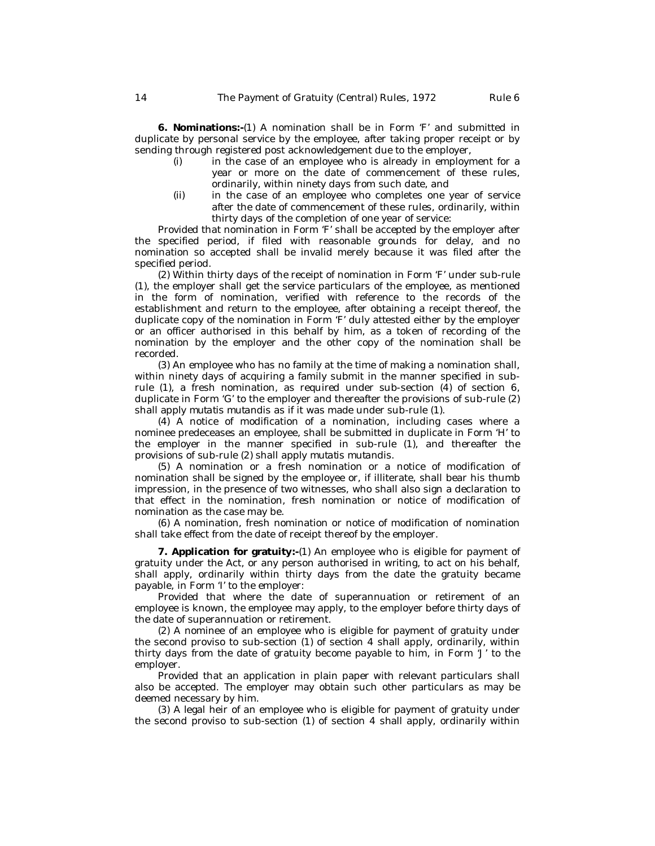**6. Nominations:-**(1) A nomination shall be in Form 'F' and submitted in duplicate by personal service by the employee, after taking proper receipt or by sending through registered post acknowledgement due to the employer,

- (i) in the case of an employee who is already in employment for a year or more on the date of commencement of these rules, ordinarily, within ninety days from such date, and
- (ii) in the case of an employee who completes one year of service after the date of commencement of these rules, ordinarily, within thirty days of the completion of one year of service:

Provided that nomination in Form 'F' shall be accepted by the employer after the specified period, if filed with reasonable grounds for delay, and no nomination so accepted shall be invalid merely because it was filed after the specified period.

(2) Within thirty days of the receipt of nomination in Form 'F' under sub-rule (1), the employer shall get the service particulars of the employee, as mentioned in the form of nomination, verified with reference to the records of the establishment and return to the employee, after obtaining a receipt thereof, the duplicate copy of the nomination in Form 'F' duly attested either by the employer or an officer authorised in this behalf by him, as a token of recording of the nomination by the employer and the other copy of the nomination shall be recorded.

(3) An employee who has no family at the time of making a nomination shall, within ninety days of acquiring a family submit in the manner specified in subrule (1), a fresh nomination, as required under sub-section (4) of section 6, duplicate in Form 'G' to the employer and thereafter the provisions of sub-rule (2) shall apply *mutatis mutandis* as if it was made under sub-rule (1).

(4) A notice of modification of a nomination, including cases where a nominee predeceases an employee, shall be submitted in duplicate in Form 'H' to the employer in the manner specified in sub-rule (1), and thereafter the provisions of sub-rule (2) shall apply *mutatis mutandis*.

(5) A nomination or a fresh nomination or a notice of modification of nomination shall be signed by the employee or, if illiterate, shall bear his thumb impression, in the presence of two witnesses, who shall also sign a declaration to that effect in the nomination, fresh nomination or notice of modification of nomination as the case may be.

(6) A nomination, fresh nomination or notice of modification of nomination shall take effect from the date of receipt thereof by the employer.

**7. Application for gratuity:-**(1) An employee who is eligible for payment of gratuity under the Act, or any person authorised in writing, to act on his behalf, shall apply, ordinarily within thirty days from the date the gratuity became payable, in Form 'I' to the employer:

Provided that where the date of superannuation or retirement of an employee is known, the employee may apply, to the employer before thirty days of the date of superannuation or retirement.

(2) A nominee of an employee who is eligible for payment of gratuity under the second proviso to sub-section (1) of section 4 shall apply, ordinarily, within thirty days from the date of gratuity become payable to him, in Form 'J' to the employer.

Provided that an application in plain paper with relevant particulars shall also be accepted. The employer may obtain such other particulars as may be deemed necessary by him.

(3) A legal heir of an employee who is eligible for payment of gratuity under the second proviso to sub-section (1) of section 4 shall apply, ordinarily within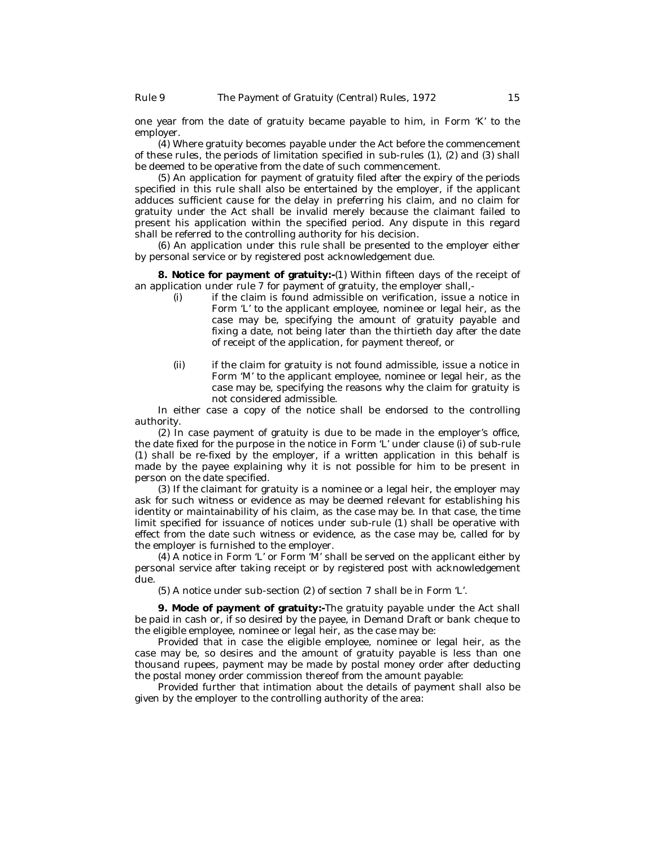one year from the date of gratuity became payable to him, in Form 'K' to the employer.

(4) Where gratuity becomes payable under the Act before the commencement of these rules, the periods of limitation specified in sub-rules (1), (2) and (3) shall be deemed to be operative from the date of such commencement.

(5) An application for payment of gratuity filed after the expiry of the periods specified in this rule shall also be entertained by the employer, if the applicant adduces sufficient cause for the delay in preferring his claim, and no claim for gratuity under the Act shall be invalid merely because the claimant failed to present his application within the specified period. Any dispute in this regard shall be referred to the controlling authority for his decision.

(6) An application under this rule shall be presented to the employer either by personal service or by registered post acknowledgement due.

**8. Notice for payment of gratuity:-**(1) Within fifteen days of the receipt of an application under rule 7 for payment of gratuity, the employer shall,-

- (i) if the claim is found admissible on verification, issue a notice in Form 'L' to the applicant employee, nominee or legal heir, as the case may be, specifying the amount of gratuity payable and fixing a date, not being later than the thirtieth day after the date of receipt of the application, for payment thereof, or
- (ii) if the claim for gratuity is not found admissible, issue a notice in Form 'M' to the applicant employee, nominee or legal heir, as the case may be, specifying the reasons why the claim for gratuity is not considered admissible.

In either case a copy of the notice shall be endorsed to the controlling authority.

(2) In case payment of gratuity is due to be made in the employer's office, the date fixed for the purpose in the notice in Form 'L' under clause (i) of sub-rule (1) shall be re-fixed by the employer, if a written application in this behalf is made by the payee explaining why it is not possible for him to be present in person on the date specified.

(3) If the claimant for gratuity is a nominee or a legal heir, the employer may ask for such witness or evidence as may be deemed relevant for establishing his identity or maintainability of his claim, as the case may be. In that case, the time limit specified for issuance of notices under sub-rule (1) shall be operative with effect from the date such witness or evidence, as the case may be, called for by the employer is furnished to the employer.

(4) A notice in Form 'L' or Form 'M' shall be served on the applicant either by personal service after taking receipt or by registered post with acknowledgement due.

(5) A notice under sub-section (2) of section 7 shall be in Form 'L'.

**9. Mode of payment of gratuity:-**The gratuity payable under the Act shall be paid in cash or, if so desired by the payee, in Demand Draft or bank cheque to the eligible employee, nominee or legal heir, as the case may be:

Provided that in case the eligible employee, nominee or legal heir, as the case may be, so desires and the amount of gratuity payable is less than one thousand rupees, payment may be made by postal money order after deducting the postal money order commission thereof from the amount payable:

Provided further that intimation about the details of payment shall also be given by the employer to the controlling authority of the area: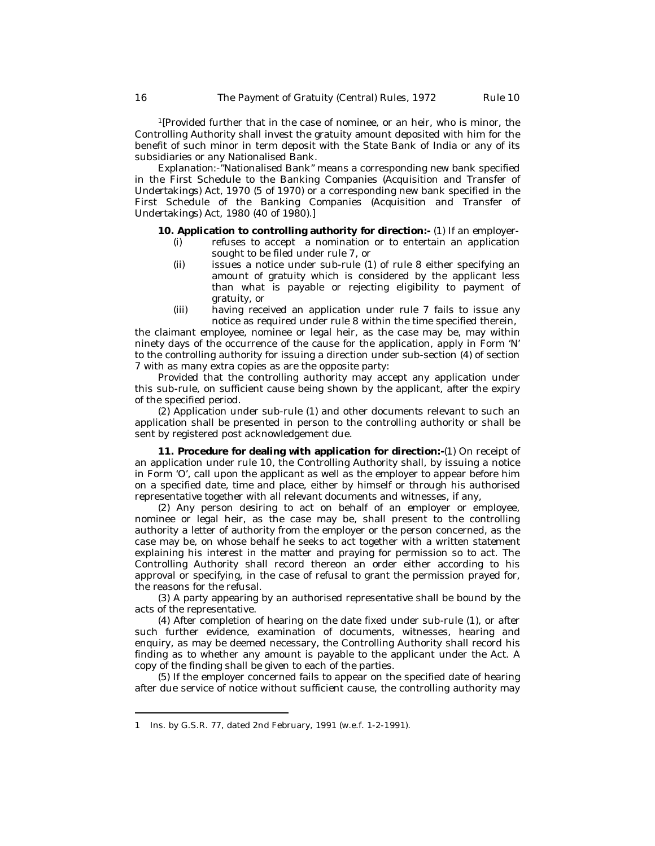<sup>1</sup>[Provided further that in the case of nominee, or an heir, who is minor, the Controlling Authority shall invest the gratuity amount deposited with him for the benefit of such minor in term deposit with the State Bank of India or any of its subsidiaries or any Nationalised Bank.

*Explanation*:-"Nationalised Bank" means a corresponding new bank specified in the First Schedule to the Banking Companies (Acquisition and Transfer of Undertakings) Act, 1970 (5 of 1970) or a corresponding new bank specified in the First Schedule of the Banking Companies (Acquisition and Transfer of Undertakings) Act, 1980 (40 of 1980).]

**10. Application to controlling authority for direction:-** (1) If an employer-

- (i) refuses to accept a nomination or to entertain an application sought to be filed under rule 7, or
- (ii) issues a notice under sub-rule (1) of rule 8 either specifying an amount of gratuity which is considered by the applicant less than what is payable or rejecting eligibility to payment of gratuity, or
- (iii) having received an application under rule 7 fails to issue any notice as required under rule 8 within the time specified therein,

the claimant employee, nominee or legal heir, as the case may be, may within ninety days of the occurrence of the cause for the application, apply in Form 'N' to the controlling authority for issuing a direction under sub-section (4) of section 7 with as many extra copies as are the opposite party:

Provided that the controlling authority may accept any application under this sub-rule, on sufficient cause being shown by the applicant, after the expiry of the specified period.

(2) Application under sub-rule (1) and other documents relevant to such an application shall be presented in person to the controlling authority or shall be sent by registered post acknowledgement due.

**11. Procedure for dealing with application for direction:-**(1) On receipt of an application under rule 10, the Controlling Authority shall, by issuing a notice in Form 'O', call upon the applicant as well as the employer to appear before him on a specified date, time and place, either by himself or through his authorised representative together with all relevant documents and witnesses, if any,

(2) Any person desiring to act on behalf of an employer or employee, nominee or legal heir, as the case may be, shall present to the controlling authority a letter of authority from the employer or the person concerned, as the case may be, on whose behalf he seeks to act together with a written statement explaining his interest in the matter and praying for permission so to act. The Controlling Authority shall record thereon an order either according to his approval or specifying, in the case of refusal to grant the permission prayed for, the reasons for the refusal.

(3) A party appearing by an authorised representative shall be bound by the acts of the representative.

(4) After completion of hearing on the date fixed under sub-rule (1), or after such further evidence, examination of documents, witnesses, hearing and enquiry, as may be deemed necessary, the Controlling Authority shall record his finding as to whether any amount is payable to the applicant under the Act. A copy of the finding shall be given to each of the parties.

(5) If the employer concerned fails to appear on the specified date of hearing after due service of notice without sufficient cause, the controlling authority may

<sup>1</sup> Ins. by G.S.R. 77, dated 2nd February, 1991 (w.e.f. 1-2-1991).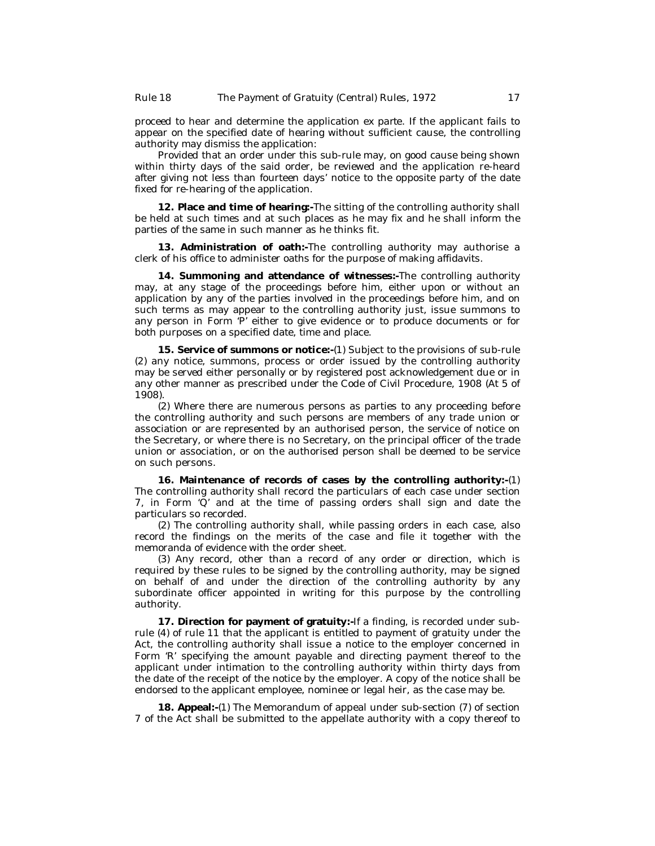proceed to hear and determine the application *ex parte*. If the applicant fails to appear on the specified date of hearing without sufficient cause, the controlling authority may dismiss the application:

Provided that an order under this sub-rule may, on good cause being shown within thirty days of the said order, be reviewed and the application re-heard after giving not less than fourteen days' notice to the opposite party of the date fixed for re-hearing of the application.

**12. Place and time of hearing:-**The sitting of the controlling authority shall be held at such times and at such places as he may fix and he shall inform the parties of the same in such manner as he thinks fit.

**13. Administration of oath:-**The controlling authority may authorise a clerk of his office to administer oaths for the purpose of making affidavits.

**14. Summoning and attendance of witnesses:-**The controlling authority may, at any stage of the proceedings before him, either upon or without an application by any of the parties involved in the proceedings before him, and on such terms as may appear to the controlling authority just, issue summons to any person in Form 'P' either to give evidence or to produce documents or for both purposes on a specified date, time and place.

**15. Service of summons or notice:-**(1) Subject to the provisions of sub-rule (2) any notice, summons, process or order issued by the controlling authority may be served either personally or by registered post acknowledgement due or in any other manner as prescribed under the Code of Civil Procedure, 1908 (At 5 of 1908).

(2) Where there are numerous persons as parties to any proceeding before the controlling authority and such persons are members of any trade union or association or are represented by an authorised person, the service of notice on the Secretary, or where there is no Secretary, on the principal officer of the trade union or association, or on the authorised person shall be deemed to be service on such persons.

**16. Maintenance of records of cases by the controlling authority:-**(1) The controlling authority shall record the particulars of each case under section 7, in Form 'Q' and at the time of passing orders shall sign and date the particulars so recorded.

(2) The controlling authority shall, while passing orders in each case, also record the findings on the merits of the case and file it together with the memoranda of evidence with the order sheet.

(3) Any record, other than a record of any order or direction, which is required by these rules to be signed by the controlling authority, may be signed on behalf of and under the direction of the controlling authority by any subordinate officer appointed in writing for this purpose by the controlling authority.

**17. Direction for payment of gratuity:-**If a finding, is recorded under subrule (4) of rule 11 that the applicant is entitled to payment of gratuity under the Act, the controlling authority shall issue a notice to the employer concerned in Form 'R' specifying the amount payable and directing payment thereof to the applicant under intimation to the controlling authority within thirty days from the date of the receipt of the notice by the employer. A copy of the notice shall be endorsed to the applicant employee, nominee or legal heir, as the case may be.

**18. Appeal:-**(1) The Memorandum of appeal under sub-section (7) of section 7 of the Act shall be submitted to the appellate authority with a copy thereof to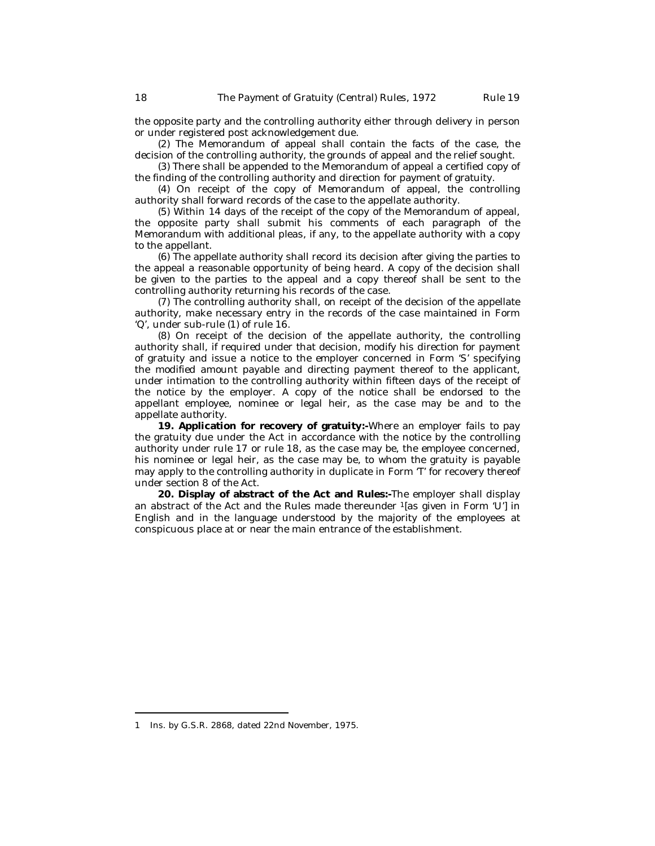the opposite party and the controlling authority either through delivery in person or under registered post acknowledgement due.

(2) The Memorandum of appeal shall contain the facts of the case, the decision of the controlling authority, the grounds of appeal and the relief sought.

(3) There shall be appended to the Memorandum of appeal a certified copy of the finding of the controlling authority and direction for payment of gratuity.

(4) On receipt of the copy of Memorandum of appeal, the controlling authority shall forward records of the case to the appellate authority.

(5) Within 14 days of the receipt of the copy of the Memorandum of appeal, the opposite party shall submit his comments of each paragraph of the Memorandum with additional pleas, if any, to the appellate authority with a copy to the appellant.

(6) The appellate authority shall record its decision after giving the parties to the appeal a reasonable opportunity of being heard. A copy of the decision shall be given to the parties to the appeal and a copy thereof shall be sent to the controlling authority returning his records of the case.

(7) The controlling authority shall, on receipt of the decision of the appellate authority, make necessary entry in the records of the case maintained in Form 'Q', under sub-rule (1) of rule 16.

(8) On receipt of the decision of the appellate authority, the controlling authority shall, if required under that decision, modify his direction for payment of gratuity and issue a notice to the employer concerned in Form 'S' specifying the modified amount payable and directing payment thereof to the applicant, under intimation to the controlling authority within fifteen days of the receipt of the notice by the employer. A copy of the notice shall be endorsed to the appellant employee, nominee or legal heir, as the case may be and to the appellate authority.

**19. Application for recovery of gratuity:-**Where an employer fails to pay the gratuity due under the Act in accordance with the notice by the controlling authority under rule 17 or rule 18, as the case may be, the employee concerned, his nominee or legal heir, as the case may be, to whom the gratuity is payable may apply to the controlling authority in duplicate in Form 'T' for recovery thereof under section 8 of the Act.

**20. Display of abstract of the Act and Rules:-**The employer shall display an abstract of the Act and the Rules made thereunder <sup>1</sup>[as given in Form 'U'] in English and in the language understood by the majority of the employees at conspicuous place at or near the main entrance of the establishment.

<sup>1</sup> Ins. by G.S.R. 2868, dated 22nd November, 1975.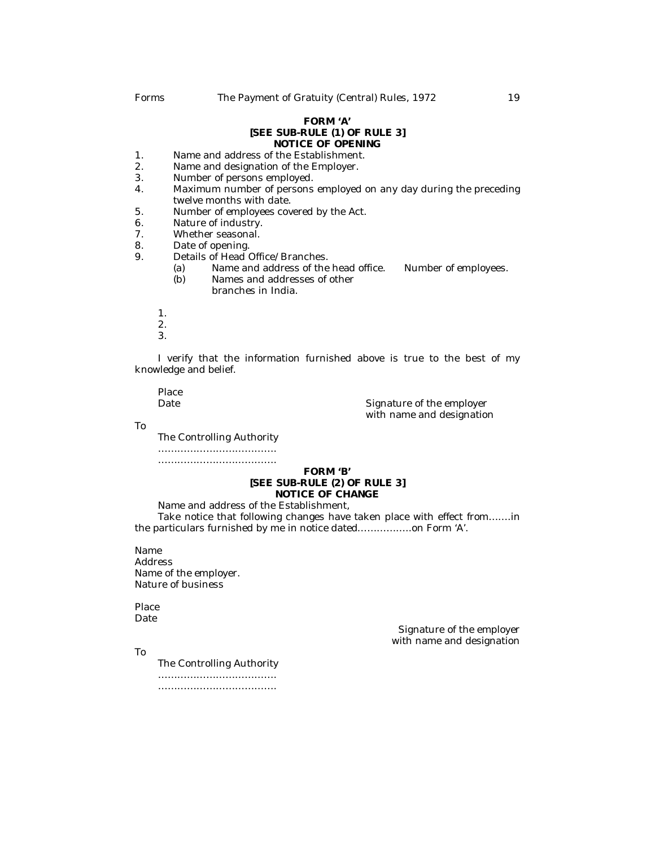#### **FORM 'A' [SEE SUB-RULE (1) OF RULE 3] NOTICE OF OPENING**

- 1. Name and address of the Establishment.<br>2 Name and designation of the Employer
- 2. Name and designation of the Employer.<br>3. Number of persons employed.
- Number of persons employed.
- 4. Maximum number of persons employed on any day during the preceding twelve months with date.
- 5. Number of employees covered by the Act.<br>6. Nature of industry.
- 6. Nature of industry.<br>7. Whether seasonal.
- 7. Whether seasonal.<br>8. Date of opening.
- 8. Date of opening.<br>9. Details of Head (
- Details of Head Office/Branches.
	- (a) Name and address of the head office. Number of employees.<br>(b) Names and addresses of other
	- Names and addresses of other branches in India.
	- 1.
	- 2.
	- 3.

I verify that the information furnished above is true to the best of my knowledge and belief.

Place<br>Date

Signature of the employer with name and designation

To

The Controlling Authority

………………………………. ……………………………….

## **FORM 'B' [SEE SUB-RULE (2) OF RULE 3] NOTICE OF CHANGE**

Name and address of the Establishment,

Take notice that following changes have taken place with effect from…….in the particulars furnished by me in notice dated……………..on Form 'A'.

Name Address Name of the employer. Nature of business

Place **Date** 

To

Signature of the employer with name and designation

The Controlling Authority

………………………………. ……………………………….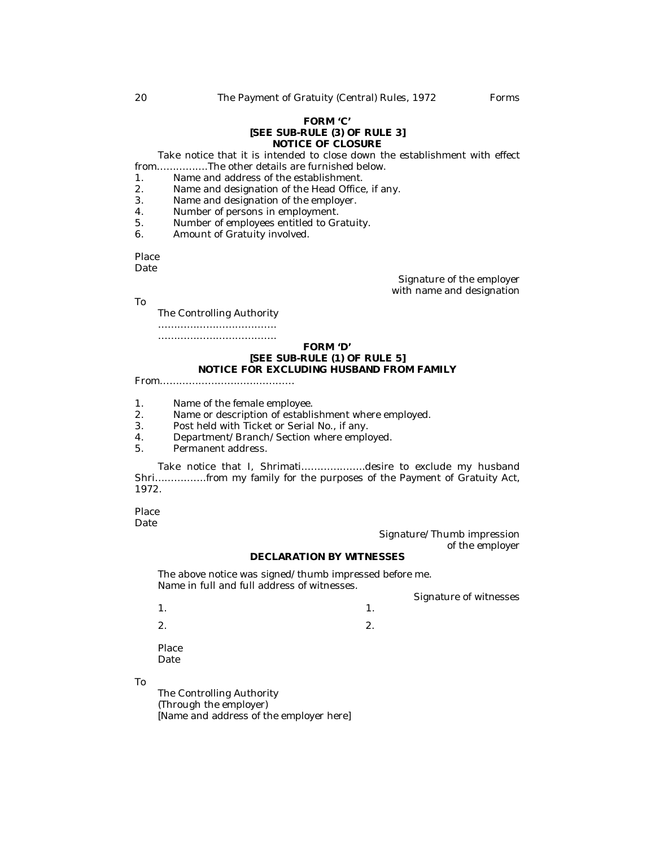#### **FORM 'C' [SEE SUB-RULE (3) OF RULE 3] NOTICE OF CLOSURE**

Take notice that it is intended to close down the establishment with effect from…………….The other details are furnished below.

- 1. Name and address of the establishment.<br>2. Name and designation of the Head Office
- 2. Name and designation of the Head Office, if any.<br>3. Name and designation of the employer.
- 3. Name and designation of the employer.<br>4 Number of persons in employment
- 4. Number of persons in employment.<br>5. Number of employees entitled to Gr
- 5. Number of employees entitled to Gratuity.<br>6. Amount of Gratuity involved.
- Amount of Gratuity involved.

Place

Date

Signature of the employer with name and designation

To

The Controlling Authority

………………………………. ……………………………….

## **FORM 'D' [SEE SUB-RULE (1) OF RULE 5] NOTICE FOR EXCLUDING HUSBAND FROM FAMILY**

From……………………………………

1. Name of the female employee.<br>2. Name or description of establi

- 2. Name or description of establishment where employed.<br>3 Post held with Ticket or Serial No. if any
- 3. Post held with Ticket or Serial No., if any.<br>4 Department/Branch/Section where emplo
- Department/Branch/Section where employed.
- 5. Permanent address.

Take notice that I, Shrimati………………..desire to exclude my husband Shri…………….from my family for the purposes of the Payment of Gratuity Act, 1972.

Place **Date** 

Signature/Thumb impression of the employer

Signature of witnesses

## **DECLARATION BY WITNESSES**

The above notice was signed/thumb impressed before me. Name in full and full address of witnesses.

 $1.$ 

 $2.$ 

Place **Date** 

To

The Controlling Authority (Through the employer) [Name and address of the employer here]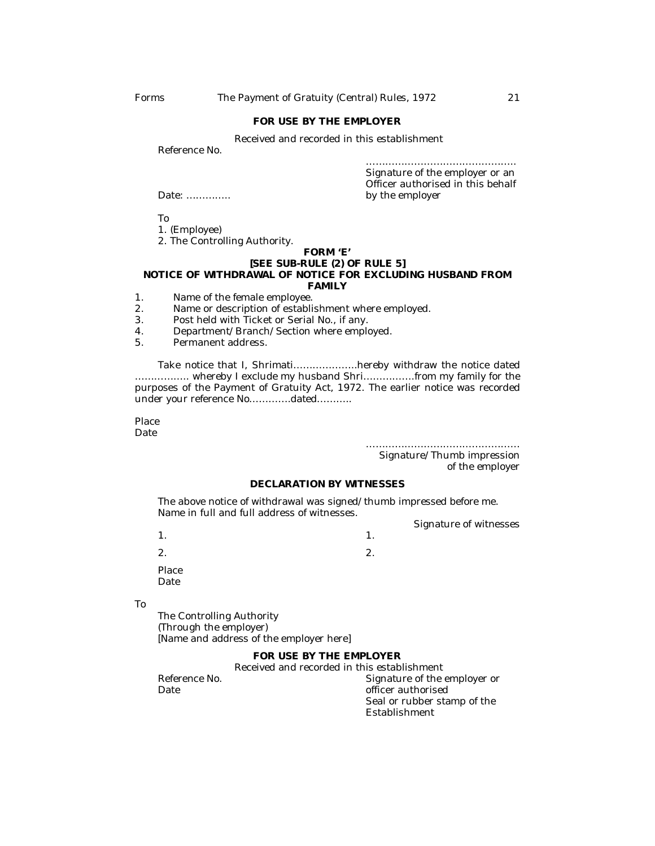#### **FOR USE BY THE EMPLOYER**

Received and recorded in this establishment

Reference No.

………………………………………………………… Signature of the employer or an Officer authorised in this behalf Date: ………….. by the employer

To

1. (Employee)

2. The Controlling Authority.

#### **FORM 'E' [SEE SUB-RULE (2) OF RULE 5] NOTICE OF WITHDRAWAL OF NOTICE FOR EXCLUDING HUSBAND FROM FAMILY**

- 1. Name of the female employee.
- 2. Name or description of establishment where employed.
- 3. Post held with Ticket or Serial No., if any.
- 4. Department/Branch/Section where employed.<br>5. Permanent address.
- 5. Permanent address.

Take notice that I, Shrimati………………..hereby withdraw the notice dated …………….. whereby I exclude my husband Shri…………….from my family for the purposes of the Payment of Gratuity Act, 1972. The earlier notice was recorded under your reference No………….dated………..

Place Date

…………………………………………

Signature/Thumb impression of the employer

## **DECLARATION BY WITNESSES**

The above notice of withdrawal was signed/thumb impressed before me. Name in full and full address of witnesses.

Signature of witnesses

 $1.$ 

 $2.$ Place

Date

To

The Controlling Authority (Through the employer) [Name and address of the employer here]

## **FOR USE BY THE EMPLOYER**

Received and recorded in this establishment

Reference No.  $\begin{array}{ccc}\n\text{Reference No.} \\
\text{Date} \\
\end{array}$ officer authorised Seal or rubber stamp of the Establishment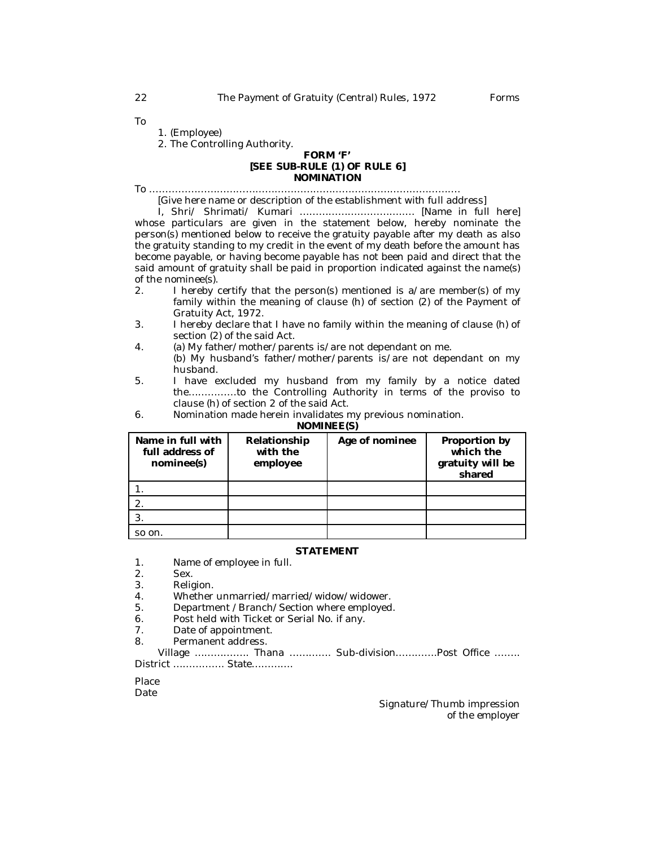To

1. (Employee)

2. The Controlling Authority.

## **FORM 'F' [SEE SUB-RULE (1) OF RULE 6] NOMINATION**

To …………………………………………………………………………………….

[Give here name or description of the establishment with full address]

I, Shri/ Shrimati/ Kumari ……………….…………..… [Name in full here] whose particulars are given in the statement below, hereby nominate the person(s) mentioned below to receive the gratuity payable after my death as also the gratuity standing to my credit in the event of my death before the amount has become payable, or having become payable has not been paid and direct that the said amount of gratuity shall be paid in proportion indicated against the name(s) of the nominee(s).<br>2.  $\blacksquare$  hereby on

- 1 hereby certify that the person(s) mentioned is a/are member(s) of my family within the meaning of clause (h) of section (2) of the Payment of Gratuity Act, 1972.
- 3. I hereby declare that I have no family within the meaning of clause (h) of section (2) of the said Act.
- 4. (a) My father/mother/parents is/are not dependant on me.
- (b) My husband's father/mother/parents is/are not dependant on my husband.
- 5. I have excluded my husband from my family by a notice dated the……………to the Controlling Authority in terms of the proviso to clause (h) of section 2 of the said Act.
- 6. Nomination made herein invalidates my previous nomination.

**NOMINEE(S)**

| Name in full with<br>full address of<br>nominee(s) | Relationship<br>with the<br>employee | Age of nominee | Proportion by<br>which the<br>gratuity will be<br>shared |
|----------------------------------------------------|--------------------------------------|----------------|----------------------------------------------------------|
|                                                    |                                      |                |                                                          |
|                                                    |                                      |                |                                                          |
|                                                    |                                      |                |                                                          |
| so on.                                             |                                      |                |                                                          |

#### **STATEMENT**

- 1. Name of employee in full.
- 2. Sex.
- 3. Religion.
- 4. Whether unmarried/married/widow/widower.<br>5. Department /Branch/Section where employed
- 5. Department /Branch/Section where employed.
- 6. Post held with Ticket or Serial No. if any.<br>7. Date of appointment.
- Date of appointment.
- 8. Permanent address.

Village …………….. Thana …………. Sub-division………….Post Office …….. District ……………. State………….

Place

Date

Signature/Thumb impression of the employer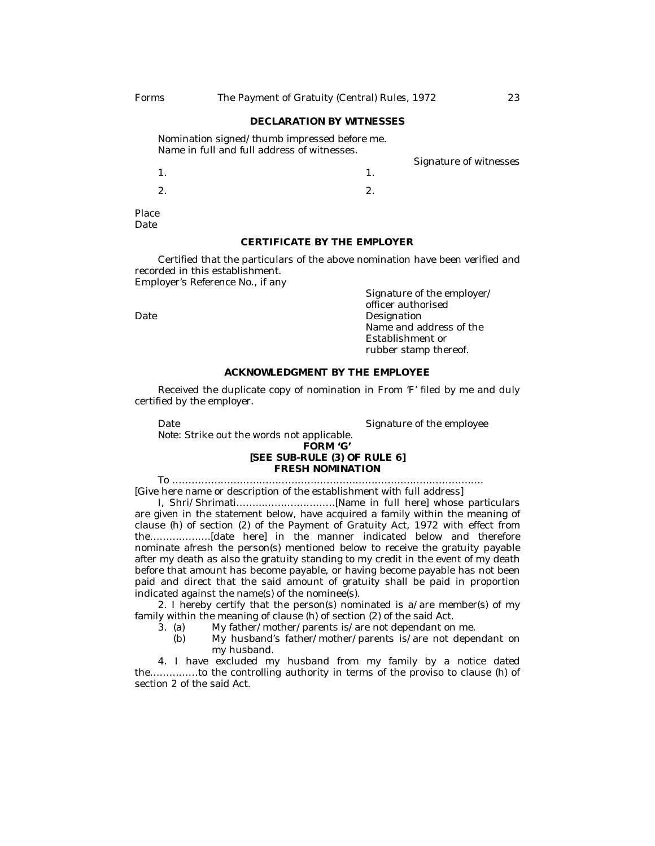#### **DECLARATION BY WITNESSES**

Nomination signed/thumb impressed before me. Name in full and full address of witnesses.

Signature of witnesses

1.  $\blacksquare$ 

2.  $2.$ 

Place Date

## **CERTIFICATE BY THE EMPLOYER**

Certified that the particulars of the above nomination have been verified and recorded in this establishment.

Employer's Reference No., if any

Signature of the employer/ officer authorised Date **Date** Designation Name and address of the Establishment or rubber stamp thereof.

## **ACKNOWLEDGMENT BY THE EMPLOYEE**

Received the duplicate copy of nomination in From 'F' filed by me and duly certified by the employer.

Date **Signature of the employee** 

*Note:* Strike out the words not applicable.

#### **FORM 'G' [SEE SUB-RULE (3) OF RULE 6] FRESH NOMINATION**

To ……………………………………………………………………………………. [Give here name or description of the establishment with full address]

I, Shri/Shrimati……...……….…………[Name in full here] whose particulars are given in the statement below, have acquired a family within the meaning of clause (h) of section (2) of the Payment of Gratuity Act, 1972 with effect from the……………….[date here] in the manner indicated below and therefore nominate afresh the person(s) mentioned below to receive the gratuity payable after my death as also the gratuity standing to my credit in the event of my death before that amount has become payable, or having become payable has not been paid and direct that the said amount of gratuity shall be paid in proportion indicated against the name(s) of the nominee(s).

2. I hereby certify that the person(s) nominated is a/are member(s) of my family within the meaning of clause (h) of section (2) of the said Act.<br>3. (a) My father/mother/parents is/are not dependant on

- My father/mother/parents is/are not dependant on me.
	- (b) My husband's father/mother/parents is/are not dependant on my husband.

4. I have excluded my husband from my family by a notice dated the……………to the controlling authority in terms of the proviso to clause (h) of section 2 of the said Act.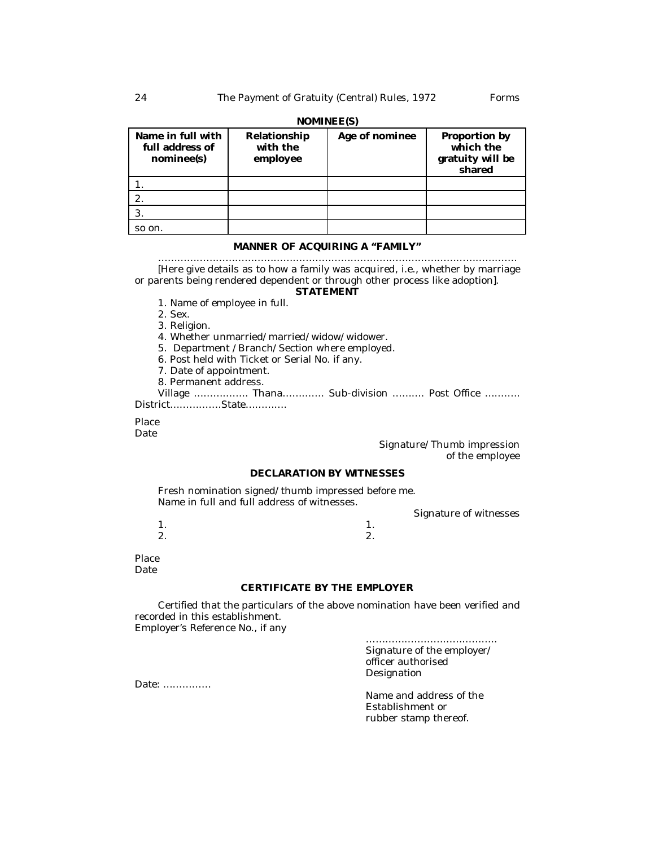| $\cdots$                                           |                                      |                |                                                          |
|----------------------------------------------------|--------------------------------------|----------------|----------------------------------------------------------|
| Name in full with<br>full address of<br>nominee(s) | Relationship<br>with the<br>employee | Age of nominee | Proportion by<br>which the<br>gratuity will be<br>shared |
|                                                    |                                      |                |                                                          |
|                                                    |                                      |                |                                                          |
|                                                    |                                      |                |                                                          |
| so on.                                             |                                      |                |                                                          |

## **NOMINEE(S)**

#### **MANNER OF ACQUIRING A "FAMILY"**

…………………………………………………………………………………………………. [Here give details as to how a family was acquired, i.e., whether by marriage or parents being rendered dependent or through other process like adoption]. **STATEMENT**

## 1. Name of employee in full.

- 2. Sex.
- 3. Religion.
- 4. Whether unmarried/married/widow/widower.
- 5. Department /Branch/Section where employed.
- 6. Post held with Ticket or Serial No. if any.
- 7. Date of appointment.
- 8. Permanent address.

Village …………….. Thana…………. Sub-division ………. Post Office ……….. District…………….State………….

Place

Date

## Signature/Thumb impression of the employee

## **DECLARATION BY WITNESSES**

Fresh nomination signed/thumb impressed before me. Name in full and full address of witnesses.

Signature of witnesses

 $1.$  $2.$ 

Place **Date** 

#### **CERTIFICATE BY THE EMPLOYER**

Certified that the particulars of the above nomination have been verified and recorded in this establishment. Employer's Reference No., if any

> ………………………………….. Signature of the employer/ officer authorised **Designation**

Name and address of the Establishment or rubber stamp thereof.

Date: ……………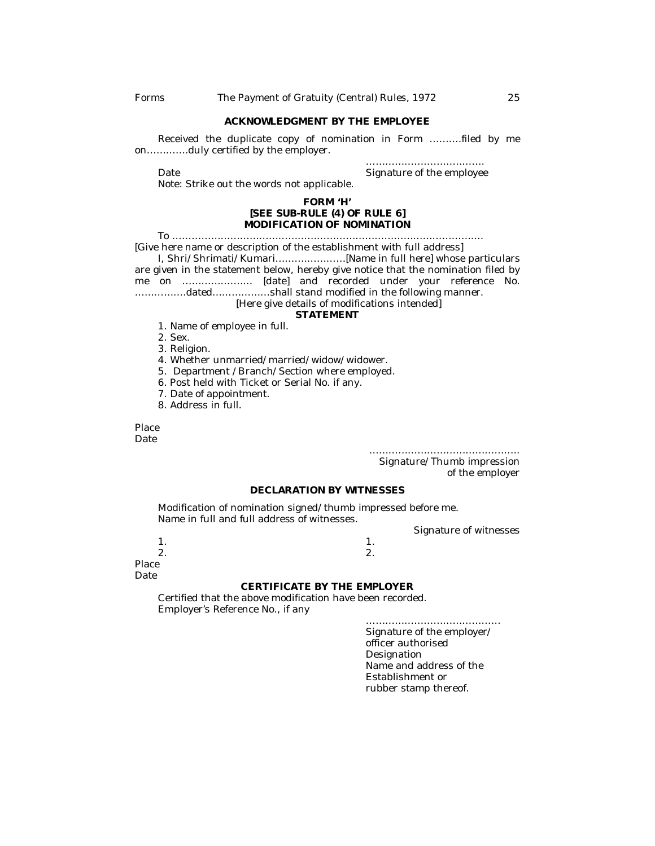#### **ACKNOWLEDGMENT BY THE EMPLOYEE**

Received the duplicate copy of nomination in Form ……….filed by me on………….duly certified by the employer.

……………………………………………

Date **Signature of the employee** Signature of the employee

Note: Strike out the words not applicable.

#### **FORM 'H' [SEE SUB-RULE (4) OF RULE 6] MODIFICATION OF NOMINATION**

To …………………………………………………………………………………….

[Give here name or description of the establishment with full address]

I, Shri/Shrimati/Kumari……….…………[Name in full here] whose particulars are given in the statement below, hereby give notice that the nomination filed by me on ……………….… [date] and recorded under your reference No. …………….dated………………shall stand modified in the following manner.

[Here give details of modifications intended]

## **STATEMENT**

- 1. Name of employee in full.
- 2. Sex.
- 3. Religion.
- 4. Whether unmarried/married/widow/widower.
- 5. Department /Branch/Section where employed.
- 6. Post held with Ticket or Serial No. if any.
- 7. Date of appointment.
- 8. Address in full.

Place **Date** 

> ……………………………………….. Signature/Thumb impression

of the employer

#### **DECLARATION BY WITNESSES**

Modification of nomination signed/thumb impressed before me. Name in full and full address of witnesses.

Signature of witnesses

 $1.$  1.

 $2.$ 

Place Date

#### **CERTIFICATE BY THE EMPLOYER**

Certified that the above modification have been recorded. Employer's Reference No., if any

> …………………………………… Signature of the employer/ officer authorised Designation Name and address of the Establishment or rubber stamp thereof.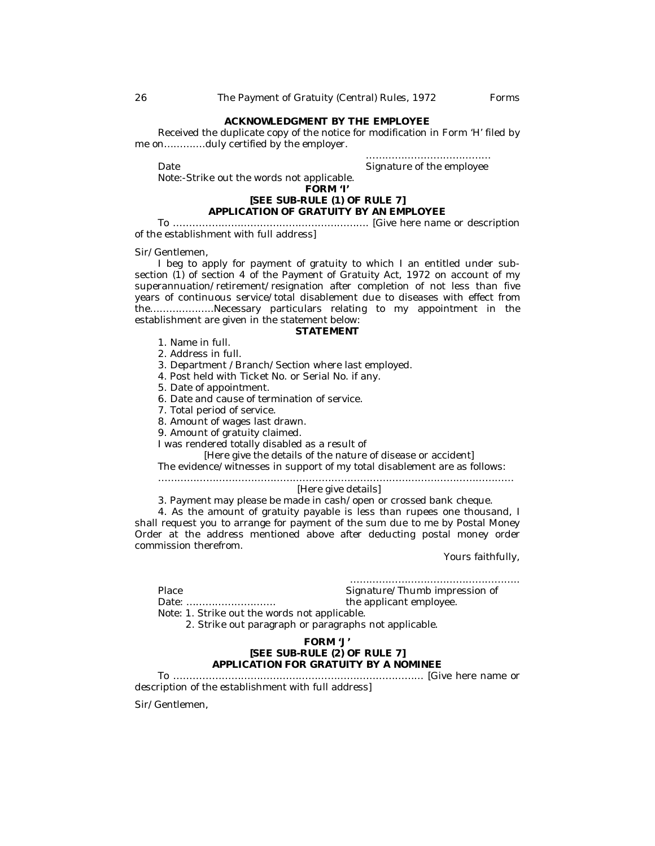## **ACKNOWLEDGMENT BY THE EMPLOYEE**

Received the duplicate copy of the notice for modification in Form 'H' filed by me on………….duly certified by the employer.

………………………………… Date **Signature of the employee** 

Note:-Strike out the words not applicable.

#### **FORM 'I'**

## **[SEE SUB-RULE (1) OF RULE 7] APPLICATION OF GRATUITY BY AN EMPLOYEE**

To ……………………………………………………. [Give here name or description of the establishment with full address]

Sir/Gentlemen,

I beg to apply for payment of gratuity to which I an entitled under subsection (1) of section 4 of the Payment of Gratuity Act, 1972 on account of my superannuation/retirement/resignation after completion of not less than five years of continuous service/total disablement due to diseases with effect from the………………..Necessary particulars relating to my appointment in the establishment are given in the statement below:

## **STATEMENT**

- 1. Name in full.
- 2. Address in full.
- 3. Department /Branch/Section where last employed.
- 4. Post held with Ticket No. or Serial No. if any.
- 5. Date of appointment.
- 6. Date and cause of termination of service.
- 7. Total period of service.
- 8. Amount of wages last drawn.
- 9. Amount of gratuity claimed.
- I was rendered totally disabled as a result of

[Here give the details of the nature of disease or accident]

The evidence/witnesses in support of my total disablement are as follows:

…………………………………………………………………………………………………

## [Here give details]

3. Payment may please be made in cash/open or crossed bank cheque.

4. As the amount of gratuity payable is less than rupees one thousand, I shall request you to arrange for payment of the sum due to me by Postal Money Order at the address mentioned above after deducting postal money order commission therefrom.

Yours faithfully,

…………………………………………….. Place Signature/Thumb impression of

Date: ………………………. the applicant employee.

Note: 1. Strike out the words not applicable.

2. Strike out paragraph or paragraphs not applicable.

## **FORM 'J' [SEE SUB-RULE (2) OF RULE 7] APPLICATION FOR GRATUITY BY A NOMINEE**

To …………………………………………………………………… [Give here name or description of the establishment with full address]

Sir/Gentlemen,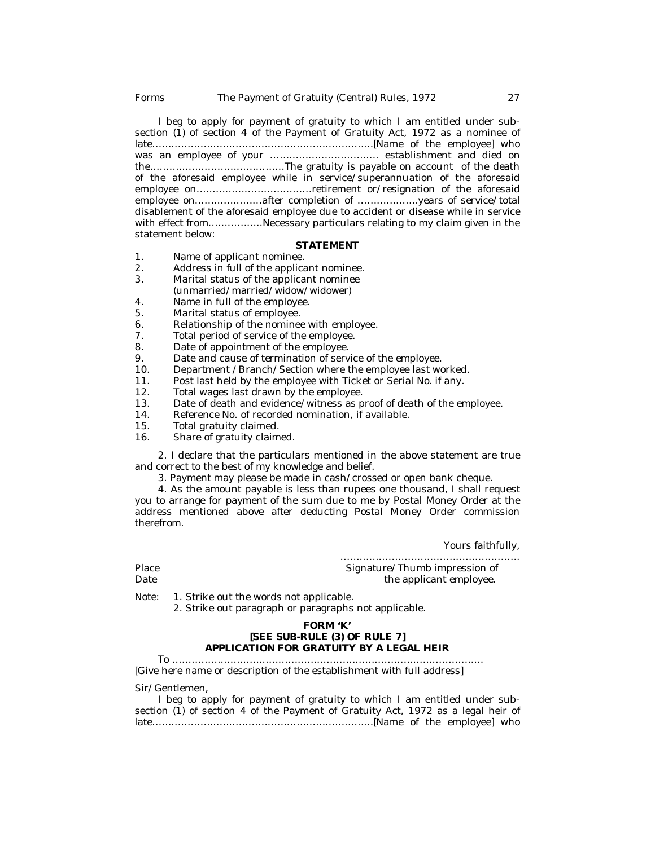I beg to apply for payment of gratuity to which I am entitled under subsection (1) of section 4 of the Payment of Gratuity Act, 1972 as a nominee of late……………………………………………………………[Name of the employee] who was an employee of your ……………………………. establishment and died on the……………………………………The gratuity is payable on account of the death of the aforesaid employee while in service/superannuation of the aforesaid employee on………………………………retirement or/resignation of the aforesaid employee on…………………after completion of ……………….years of service/total disablement of the aforesaid employee due to accident or disease while in service with effect from……………..Necessary particulars relating to my claim given in the statement below:

#### **STATEMENT**

- 1. Name of applicant nominee.<br>2. Address in full of the applica
- 2. Address in full of the applicant nominee.<br>3. Marital status of the applicant nominee.
- Marital status of the applicant nominee (unmarried/married/widow/widower)
- 4. Name in full of the employee.
- 5. Marital status of employee.
- 6. Relationship of the nominee with employee.<br>7. Total period of service of the employee.
- 7. Total period of service of the employee.<br>8. Date of appointment of the employee.
- 8. Date of appointment of the employee.<br>9. Date and cause of termination of servi
- 9. Date and cause of termination of service of the employee.<br>10. Department / Branch/Section where the employee last wo
- 10. Department /Branch/Section where the employee last worked.<br>11. Post last held by the employee with Ticket or Serial No. if any.
- 11. Post last held by the employee with Ticket or Serial No. if any.<br>12. Total wages last drawn by the employee.
- 12. Total wages last drawn by the employee.<br>13. Date of death and evidence/witness as p
- 13. Date of death and evidence/witness as proof of death of the employee.<br>14. Reference No. of recorded nomination, if available
- 14. Reference No. of recorded nomination, if available.<br>15. Total gratuity claimed
- 15. Total gratuity claimed.<br>16. Share of gratuity claim
- Share of gratuity claimed.

2. I declare that the particulars mentioned in the above statement are true and correct to the best of my knowledge and belief.

3. Payment may please be made in cash/crossed or open bank cheque.

4. As the amount payable is less than rupees one thousand, I shall request you to arrange for payment of the sum due to me by Postal Money Order at the address mentioned above after deducting Postal Money Order commission therefrom.

Yours faithfully,

……………………………………………….. Place Signature/Thumb impression of Date Signature<br>
Date the applicant employee. the applicant employee.

Note: 1. Strike out the words not applicable.

2. Strike out paragraph or paragraphs not applicable.

#### **FORM 'K' [SEE SUB-RULE (3) OF RULE 7] APPLICATION FOR GRATUITY BY A LEGAL HEIR**

To …………………………………………………………………………………….

[Give here name or description of the establishment with full address]

Sir/Gentlemen,

|                                                                                  | I beg to apply for payment of gratuity to which I am entitled under sub- |  |  |  |  |
|----------------------------------------------------------------------------------|--------------------------------------------------------------------------|--|--|--|--|
| section (1) of section 4 of the Payment of Gratuity Act, 1972 as a legal heir of |                                                                          |  |  |  |  |
|                                                                                  |                                                                          |  |  |  |  |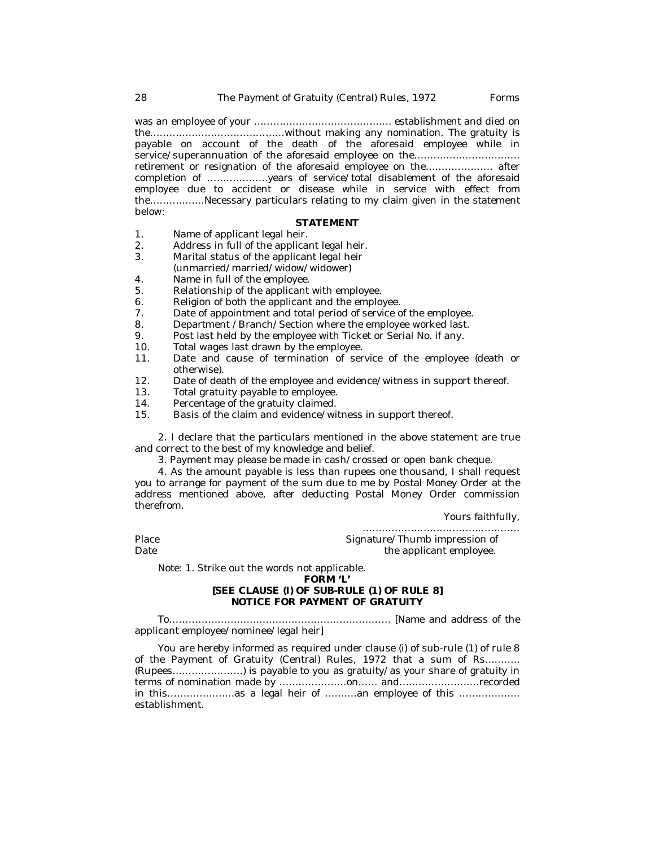was an employee of your ……………………………………. establishment and died on the……………………………………without making any nomination. The gratuity is payable on account of the death of the aforesaid employee while in service/superannuation of the aforesaid employee on the………………………………………………………………… retirement or resignation of the aforesaid employee on the………………… after completion of ……………….years of service/total disablement of the aforesaid employee due to accident or disease while in service with effect from the……………..Necessary particulars relating to my claim given in the statement below:

#### **STATEMENT**

- 1. Name of applicant legal heir.<br>2. Address in full of the applica
- 2. Address in full of the applicant legal heir.<br>3. Marital status of the applicant legal heir
- Marital status of the applicant legal heir
- (unmarried/married/widow/widower)
- 4. Name in full of the employee.<br>5 Relationship of the applicant
- Relationship of the applicant with employee.
- 6. Religion of both the applicant and the employee.
- 7. Date of appointment and total period of service of the employee.<br>8. Department / Branch/Section where the employee worked last.
- 8. Department / Branch/Section where the employee worked last.<br>9. Post last held by the employee with Ticket or Serial No. if any.
- 9. Post last held by the employee with Ticket or Serial No. if any.<br>10. Total wages last drawn by the employee.
- 10. Total wages last drawn by the employee.<br>11. Date and cause of termination of ser-
- Date and cause of termination of service of the employee (death or otherwise).
- 12. Date of death of the employee and evidence/witness in support thereof.<br>13. Total gratuity payable to employee.
- 13. Total gratuity payable to employee.<br>14. Percentage of the gratuity claimed
- 14. Percentage of the gratuity claimed.<br>15. Basis of the claim and evidence/wi
- Basis of the claim and evidence/witness in support thereof.

2. I declare that the particulars mentioned in the above statement are true and correct to the best of my knowledge and belief.

3. Payment may please be made in cash/crossed or open bank cheque.

4. As the amount payable is less than rupees one thousand, I shall request you to arrange for payment of the sum due to me by Postal Money Order at the address mentioned above, after deducting Postal Money Order commission therefrom.

Yours faithfully,

…………………………………………. Place Signature/Thumb impression of Date the applicant employee.

Note: 1. Strike out the words not applicable.

#### **FORM 'L'**

## **[SEE CLAUSE (I) OF SUB-RULE (1) OF RULE 8] NOTICE FOR PAYMENT OF GRATUITY**

To…………………………………………………………… [Name and address of the applicant employee/nominee/legal heir]

You are hereby informed as required under clause (i) of sub-rule (1) of rule 8 of the Payment of Gratuity (Central) Rules, 1972 that a sum of Rs……….. (Rupees………………….) is payable to you as gratuity/as your share of gratuity in terms of nomination made by …………………on…… and…………………….recorded in this…………………as a legal heir of ………an employee of this ………………… establishment.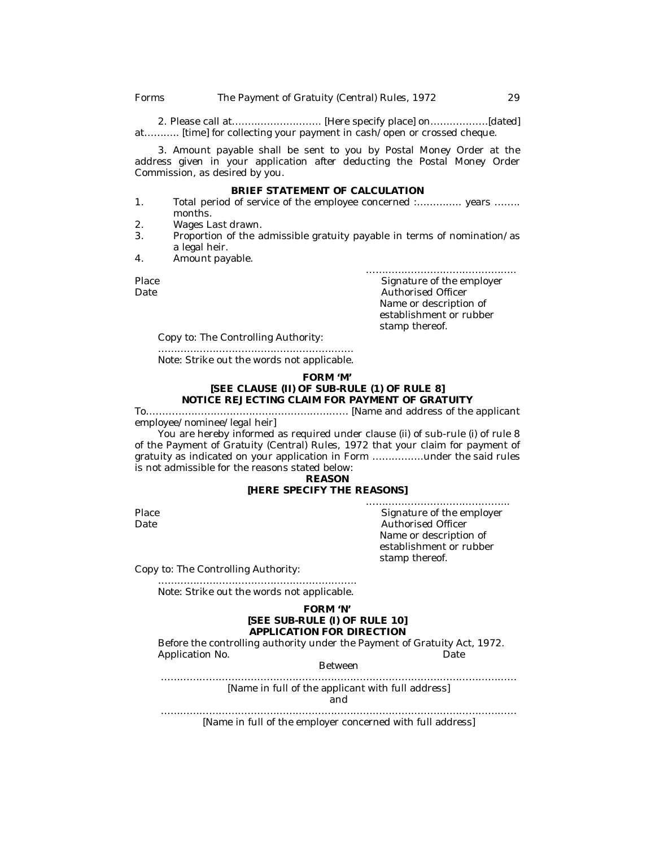2. Please call at….….……………….. [Here specify place] on………………[dated] at........... [time] for collecting your payment in cash/open or crossed cheque.

3. Amount payable shall be sent to you by Postal Money Order at the address given in your application after deducting the Postal Money Order Commission, as desired by you.

#### **BRIEF STATEMENT OF CALCULATION**

- 1. Total period of service of the employee concerned :………….. years …….. months.
- 2. Wages Last drawn.<br>3. Proportion of the a
- 3. Proportion of the admissible gratuity payable in terms of nomination/as a legal heir.
- 4. Amount payable.

………………………………………..

Place Place Signature of the employer<br>
Date Place Signature of the employer<br>
Date Place Authorised Officer Authorised Officer Name or description of establishment or rubber stamp thereof.

Copy to: The Controlling Authority:

……………………………………………………. Note: Strike out the words not applicable.

#### **FORM 'M' [SEE CLAUSE (II) OF SUB-RULE (1) OF RULE 8] NOTICE REJECTING CLAIM FOR PAYMENT OF GRATUITY**

To……………………………………………………… [Name and address of the applicant employee/nominee/legal heir]

You are hereby informed as required under clause (ii) of sub-rule (i) of rule 8 of the Payment of Gratuity (Central) Rules, 1972 that your claim for payment of gratuity as indicated on your application in Form …………….under the said rules is not admissible for the reasons stated below:

**REASON**

## **[HERE SPECIFY THE REASONS]**

……………………………………... Place Signature of the employer Date **Date Authorised Officer** Name or description of establishment or rubber stamp thereof.

Copy to: The Controlling Authority:

…………………………………………………….. Note: Strike out the words not applicable.

## **FORM 'N' [SEE SUB-RULE (I) OF RULE 10] APPLICATION FOR DIRECTION**

Before the controlling authority under the Payment of Gratuity Act, 1972. Application No. **Date** 

Between

…………………………………………………………………………………………………

[Name in full of the applicant with full address] and

…………………………………………………………………………………………………

[Name in full of the employer concerned with full address]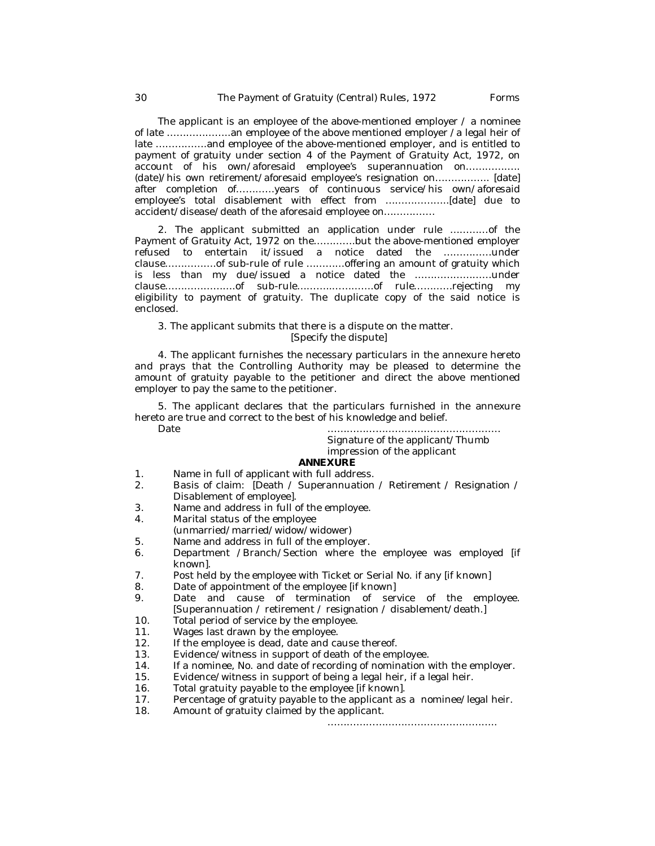The applicant is an employee of the above-mentioned employer  $\ell$  a nominee of late ………………..an employee of the above mentioned employer /a legal heir of late …………….and employee of the above-mentioned employer, and is entitled to payment of gratuity under section 4 of the Payment of Gratuity Act, 1972, on account of his own/aforesaid employee's superannuation on................. (date)/his own retirement/aforesaid employee's resignation on…………….. [date] after completion of…………years of continuous service/his own/aforesaid employee's total disablement with effect from ………………..[date] due to accident/disease/death of the aforesaid employee on…………….

2. The applicant submitted an application under rule …………of the Payment of Gratuity Act, 1972 on the………….but the above-mentioned employer refused to entertain it/issued a notice dated the ……………under clause…………….of sub-rule of rule …………offering an amount of gratuity which is less than my due/issued a notice dated the ……………………under clause………………….of sub-rule………..………….of rule…………rejecting my eligibility to payment of gratuity. The duplicate copy of the said notice is enclosed.

3. The applicant submits that there is a dispute on the matter. [Specify the dispute]

4. The applicant furnishes the necessary particulars in the annexure hereto and prays that the Controlling Authority may be pleased to determine the amount of gratuity payable to the petitioner and direct the above mentioned employer to pay the same to the petitioner.

5. The applicant declares that the particulars furnished in the annexure hereto are true and correct to the best of his knowledge and belief.

Date ………………………………………………

Signature of the applicant/Thumb impression of the applicant

#### **ANNEXURE**

- 1. Name in full of applicant with full address.<br>2. Basis of claim: [Death / Superannuation]
- 2. Basis of claim: [Death / Superannuation / Retirement / Resignation / Disablement of employee].
- 3. Name and address in full of the employee.<br>4. Marital status of the employee
- Marital status of the employee
- (unmarried/married/widow/widower)
- 5. Name and address in full of the employer.<br>6. Department / Branch/Section where the
- Department /Branch/Section where the employee was employed [if known].
- 7. Post held by the employee with Ticket or Serial No. if any [if known]
- 8. Date of appointment of the employee [if known]
- 9. Date and cause of termination of service of the employee. [Superannuation / retirement / resignation / disablement/death.]
- 10. Total period of service by the employee.<br>11. Wages last drawn by the employee.
- 11. Wages last drawn by the employee.<br>12. If the employee is dead, date and ca
- If the employee is dead, date and cause thereof.
- 13. Evidence/witness in support of death of the employee.
- 14. If a nominee, No. and date of recording of nomination with the employer.
- 15. Evidence/witness in support of being a legal heir, if a legal heir.
- 16. Total gratuity payable to the employee [if known].
- 17. Percentage of gratuity payable to the applicant as a nominee/legal heir.
- 18. Amount of gratuity claimed by the applicant.

……………………………………………..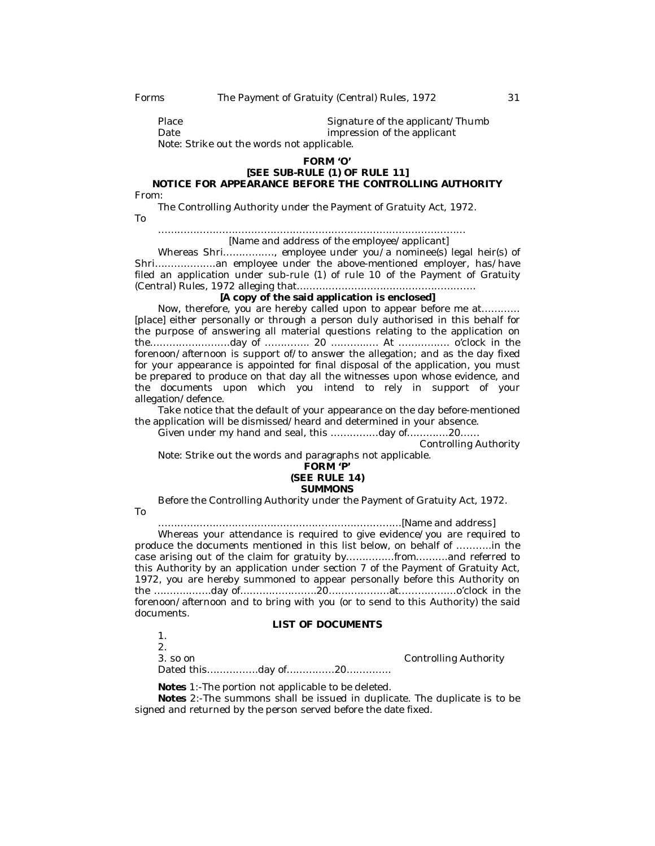| Place                                      | Signature of the applicant/Thumb |
|--------------------------------------------|----------------------------------|
| Date                                       | impression of the applicant      |
| Note: Strike out the words not applicable. |                                  |

#### **FORM 'O'**

# **[SEE SUB-RULE (1) OF RULE 11] NOTICE FOR APPEARANCE BEFORE THE CONTROLLING AUTHORITY**

From:

The Controlling Authority under the Payment of Gratuity Act, 1972. To

> …………………………………………………………………………………… [Name and address of the employee/applicant]

Whereas Shri.............., employee under you/a nominee(s) legal heir(s) of Shri……………….an employee under the above-mentioned employer, has/have filed an application under sub-rule (1) of rule 10 of the Payment of Gratuity (Central) Rules, 1972 alleging that…………………………….………………….

#### **[A copy of the said application is enclosed]**

Now, therefore, you are hereby called upon to appear before me at………… [place] either personally or through a person duly authorised in this behalf for the purpose of answering all material questions relating to the application on the…………………….day of ………….. 20 ………..…. At ……………. o'clock in the forenoon/afternoon is support of/to answer the allegation; and as the day fixed for your appearance is appointed for final disposal of the application, you must be prepared to produce on that day all the witnesses upon whose evidence, and the documents upon which you intend to rely in support of your allegation/defence.

Take notice that the default of your appearance on the day before-mentioned the application will be dismissed/heard and determined in your absence.

Given under my hand and seal, this ……………day of………….20……

Controlling Authority

Note: Strike out the words and paragraphs not applicable.

## **FORM 'P' (SEE RULE 14) SUMMONS**

Before the Controlling Authority under the Payment of Gratuity Act, 1972.

To

………………………………….………………………………[Name and address]

Whereas your attendance is required to give evidence/you are required to produce the documents mentioned in this list below, on behalf of ………..in the case arising out of the claim for gratuity by……………from……….and referred to this Authority by an application under section 7 of the Payment of Gratuity Act, 1972, you are hereby summoned to appear personally before this Authority on the ………..…….day of……….…………..20…….…………at………………o'clock in the forenoon/afternoon and to bring with you (or to send to this Authority) the said documents.

## **LIST OF DOCUMENTS**

1. 2. 3. so on Controlling Authority Dated this…………….day of……………20…………..

**Notes** 1:-The portion not applicable to be deleted.

**Notes** 2:-The summons shall be issued in duplicate. The duplicate is to be signed and returned by the person served before the date fixed.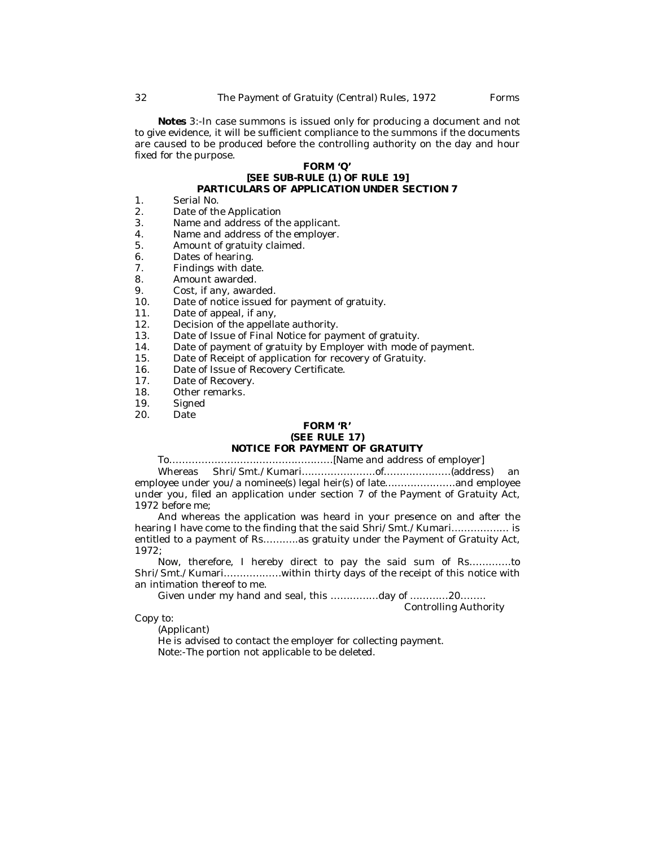**Notes** 3:-In case summons is issued only for producing a document and not to give evidence, it will be sufficient compliance to the summons if the documents are caused to be produced before the controlling authority on the day and hour fixed for the purpose.

## **FORM 'Q' [SEE SUB-RULE (1) OF RULE 19] PARTICULARS OF APPLICATION UNDER SECTION 7**

- 1. Serial No.<br>2 Date of the
- 2. Date of the Application<br>3. Name and address of the
- 3. Name and address of the applicant.<br>4. Name and address of the employer.
- 4. Name and address of the employer.<br>5. Amount of gratuity claimed.
- Amount of gratuity claimed.
- 6. Dates of hearing.<br>7. Findings with dat
- 7. Findings with date.<br>8. Amount awarded
- 8. Amount awarded.<br> **a** Cost. if any, award
- 9. Cost, if any, awarded.<br>10 Date of notice issued f
- Date of notice issued for payment of gratuity.
- 11. Date of appeal, if any,<br>12. Decision of the appella
- 12. Decision of the appellate authority.<br>13. Date of Issue of Final Notice for pay
- 13. Date of Issue of Final Notice for payment of gratuity.<br>14. Date of payment of gratuity by Employer with mode
- 14. Date of payment of gratuity by Employer with mode of payment.<br>15. Date of Receipt of application for recovery of Gratuity.
- 15. Date of Receipt of application for recovery of Gratuity.<br>16. Date of Issue of Recovery Certificate.
- 16. Date of Issue of Recovery Certificate.<br>17. Date of Recovery.
- 17. Date of Recovery.<br>18. Other remarks.
- 18. Other remarks.<br>19. Signed
- 19. Signed<br>20. Date
- Date

# **FORM 'R' (SEE RULE 17)**

# **NOTICE FOR PAYMENT OF GRATUITY**

To……………………………………………[Name and address of employer] Whereas Shri/Smt./Kumari…………………..of…………………(address) an

employee under you/a nominee(s) legal heir(s) of late………………….and employee under you, filed an application under section 7 of the Payment of Gratuity Act, 1972 before me;

And whereas the application was heard in your presence on and after the hearing I have come to the finding that the said Shri/Smt./Kumari……………… is entitled to a payment of Rs...........as gratuity under the Payment of Gratuity Act, 1972;

Now, therefore, I hereby direct to pay the said sum of Rs………….to Shri/Smt./Kumari………………within thirty days of the receipt of this notice with an intimation thereof to me.

Given under my hand and seal, this ……………day of …………20……..

Controlling Authority

Copy to:

(Applicant)

He is advised to contact the employer for collecting payment. Note:-The portion not applicable to be deleted.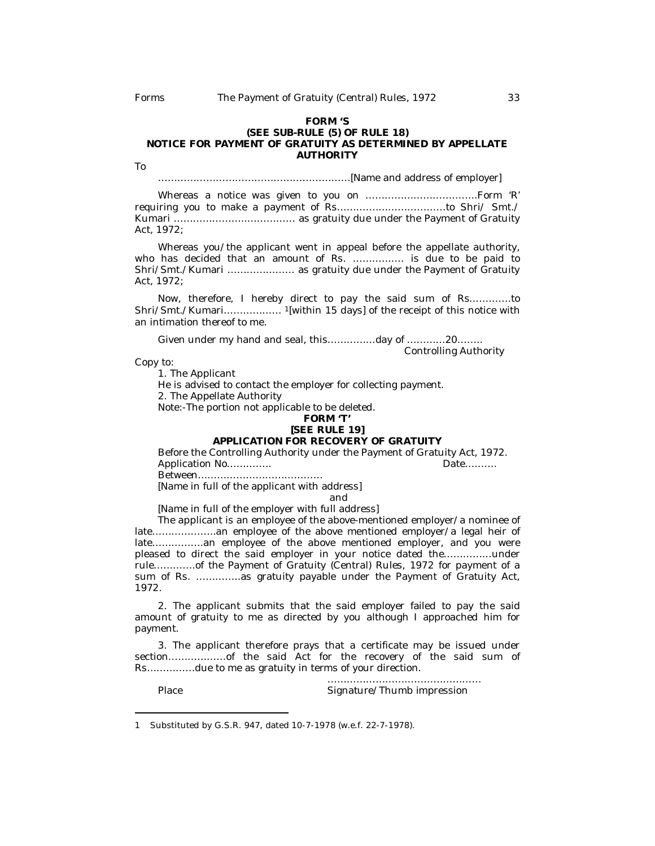#### **FORM 'S (SEE SUB-RULE (5) OF RULE 18) NOTICE FOR PAYMENT OF GRATUITY AS DETERMINED BY APPELLATE AUTHORITY**

To

……………………………………………………[Name and address of employer]

Whereas a notice was given to you on ……………………………..Form 'R' requiring you to make a payment of Rs………….…………………to Shri/ Smt./ Kumari …………………..…………… as gratuity due under the Payment of Gratuity Act, 1972;

Whereas you/the applicant went in appeal before the appellate authority, who has decided that an amount of Rs. ……………. is due to be paid to Shri/Smt./Kumari ………………… as gratuity due under the Payment of Gratuity Act, 1972;

Now, therefore, I hereby direct to pay the said sum of Rs………….to Shri/Smt./Kumari……………… <sup>1</sup>[within 15 days] of the receipt of this notice with an intimation thereof to me.

Given under my hand and seal, this……………day of …………20……..

Controlling Authority

Copy to:

1. The Applicant

He is advised to contact the employer for collecting payment.

2. The Appellate Authority

Note:-The portion not applicable to be deleted.

#### **FORM 'T' [SEE RULE 19]**

## **APPLICATION FOR RECOVERY OF GRATUITY**

Before the Controlling Authority under the Payment of Gratuity Act, 1972.<br>Application No ... ... ....... Application No………….

Between…………………………………

[Name in full of the applicant with address]

and

[Name in full of the employer with full address]

The applicant is an employee of the above-mentioned employer/a nominee of late………………..an employee of the above mentioned employer/a legal heir of late…………….an employee of the above mentioned employer, and you were pleased to direct the said employer in your notice dated the……………under rule………….of the Payment of Gratuity (Central) Rules, 1972 for payment of a sum of Rs. …………..as gratuity payable under the Payment of Gratuity Act, 1972.

2. The applicant submits that the said employer failed to pay the said amount of gratuity to me as directed by you although I approached him for payment.

3. The applicant therefore prays that a certificate may be issued under section………………of the said Act for the recovery of the said sum of Rs……………due to me as gratuity in terms of your direction.

………………………………………… Place Signature/Thumb impression

<sup>1</sup> Substituted by G.S.R. 947, dated 10-7-1978 (w.e.f. 22-7-1978).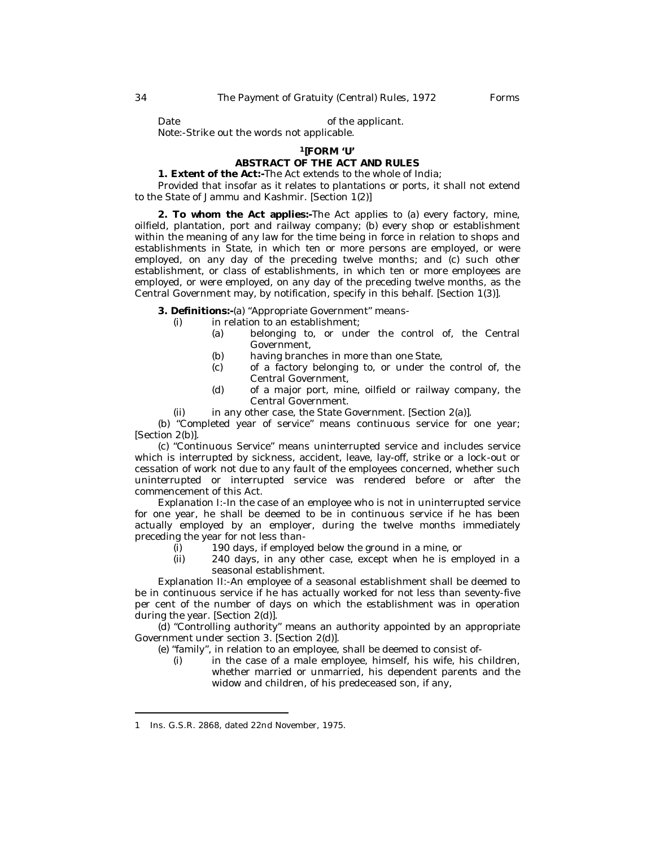Date **Date** of the applicant.

Note:-Strike out the words not applicable.

## **<sup>1</sup>[FORM 'U'**

## **ABSTRACT OF THE ACT AND RULES**

**1. Extent of the Act:-**The Act extends to the whole of India;

Provided that insofar as it relates to plantations or ports, it shall not extend to the State of Jammu and Kashmir. [Section 1(2)]

**2. To whom the Act applies:-**The Act applies to (a) every factory, mine, oilfield, plantation, port and railway company; (b) every shop or establishment within the meaning of any law for the time being in force in relation to shops and establishments in State, in which ten or more persons are employed, or were employed, on any day of the preceding twelve months; and (c) such other establishment, or class of establishments, in which ten or more employees are employed, or were employed, on any day of the preceding twelve months, as the Central Government may, by notification, specify in this behalf. [Section 1(3)].

**3. Definitions:-**(a) "Appropriate Government" means-

- $(i)$  in relation to an establishment;
	- (a) belonging to, or under the control of, the Central Government,
	- (b) having branches in more than one State,  $(c)$  of a factory belonging to, or under the
	- of a factory belonging to, or under the control of, the Central Government,
	- (d) of a major port, mine, oilfield or railway company, the Central Government.
- (ii) in any other case, the State Government. [Section 2(a)].

(b) "Completed year of service" means continuous service for one year; [Section 2(b)].

(c) "Continuous Service" means uninterrupted service and includes service which is interrupted by sickness, accident, leave, lay-off, strike or a lock-out or cessation of work not due to any fault of the employees concerned, whether such uninterrupted or interrupted service was rendered before or after the commencement of this Act.

*Explanation* I:-In the case of an employee who is not in uninterrupted service for one year, he shall be deemed to be in continuous service if he has been actually employed by an employer, during the twelve months immediately preceding the year for not less than-

- $(i)$  190 days, if employed below the ground in a mine, or  $(ii)$  240 days, in any other case, except when he is em
- 240 days, in any other case, except when he is employed in a seasonal establishment.

*Explanation* II:-An employee of a seasonal establishment shall be deemed to be in continuous service if he has actually worked for not less than seventy-five per cent of the number of days on which the establishment was in operation during the year. [Section 2(d)].

(d) "Controlling authority" means an authority appointed by an appropriate Government under section 3. [Section 2(d)].

(e) "family", in relation to an employee, shall be deemed to consist of-

(i) in the case of a male employee, himself, his wife, his children, whether married or unmarried, his dependent parents and the widow and children, of his predeceased son, if any,

<sup>1</sup> Ins. G.S.R. 2868, dated 22nd November, 1975.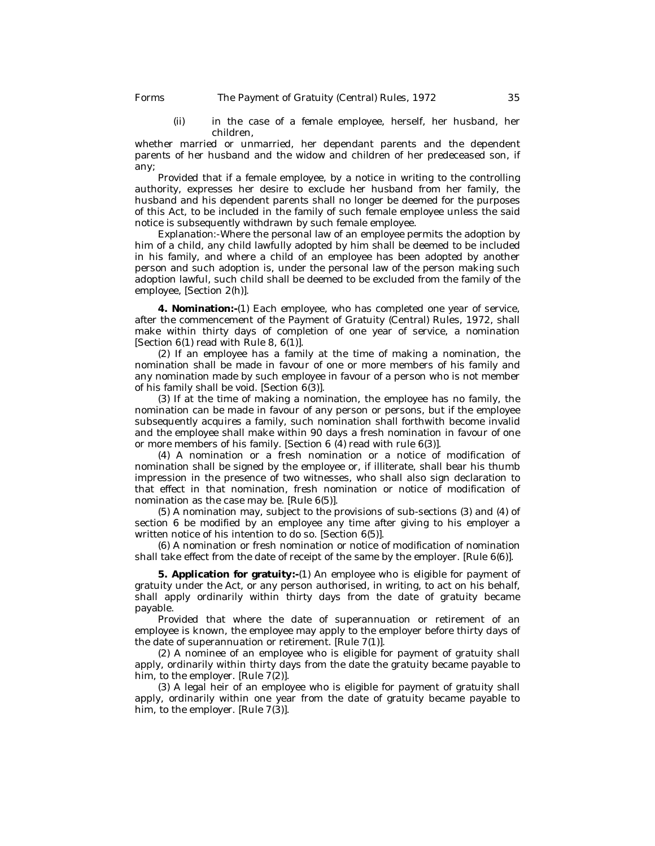(ii) in the case of a female employee, herself, her husband, her children,

whether married or unmarried, her dependant parents and the dependent parents of her husband and the widow and children of her predeceased son, if any;

Provided that if a female employee, by a notice in writing to the controlling authority, expresses her desire to exclude her husband from her family, the husband and his dependent parents shall no longer be deemed for the purposes of this Act, to be included in the family of such female employee unless the said notice is subsequently withdrawn by such female employee.

*Explanation*:-Where the personal law of an employee permits the adoption by him of a child, any child lawfully adopted by him shall be deemed to be included in his family, and where a child of an employee has been adopted by another person and such adoption is, under the personal law of the person making such adoption lawful, such child shall be deemed to be excluded from the family of the employee, [Section 2(h)].

**4. Nomination:-**(1) Each employee, who has completed one year of service, after the commencement of the Payment of Gratuity (Central) Rules, 1972, shall make within thirty days of completion of one year of service, a nomination [Section  $6(1)$  read with Rule 8,  $6(1)$ ].

(2) If an employee has a family at the time of making a nomination, the nomination shall be made in favour of one or more members of his family and any nomination made by such employee in favour of a person who is not member of his family shall be void. [Section 6(3)].

(3) If at the time of making a nomination, the employee has no family, the nomination can be made in favour of any person or persons, but if the employee subsequently acquires a family, such nomination shall forthwith become invalid and the employee shall make within 90 days a fresh nomination in favour of one or more members of his family. [Section 6 (4) read with rule 6(3)].

(4) A nomination or a fresh nomination or a notice of modification of nomination shall be signed by the employee or, if illiterate, shall bear his thumb impression in the presence of two witnesses, who shall also sign declaration to that effect in that nomination, fresh nomination or notice of modification of nomination as the case may be. [Rule 6(5)].

(5) A nomination may, subject to the provisions of sub-sections (3) and (4) of section 6 be modified by an employee any time after giving to his employer a written notice of his intention to do so. [Section 6(5)].

(6) A nomination or fresh nomination or notice of modification of nomination shall take effect from the date of receipt of the same by the employer. [Rule 6(6)].

**5. Application for gratuity:-**(1) An employee who is eligible for payment of gratuity under the Act, or any person authorised, in writing, to act on his behalf, shall apply ordinarily within thirty days from the date of gratuity became payable.

Provided that where the date of superannuation or retirement of an employee is known, the employee may apply to the employer before thirty days of the date of superannuation or retirement. [Rule 7(1)].

(2) A nominee of an employee who is eligible for payment of gratuity shall apply, ordinarily within thirty days from the date the gratuity became payable to him, to the employer. [Rule 7(2)].

(3) A legal heir of an employee who is eligible for payment of gratuity shall apply, ordinarily within one year from the date of gratuity became payable to him, to the employer. [Rule 7(3)].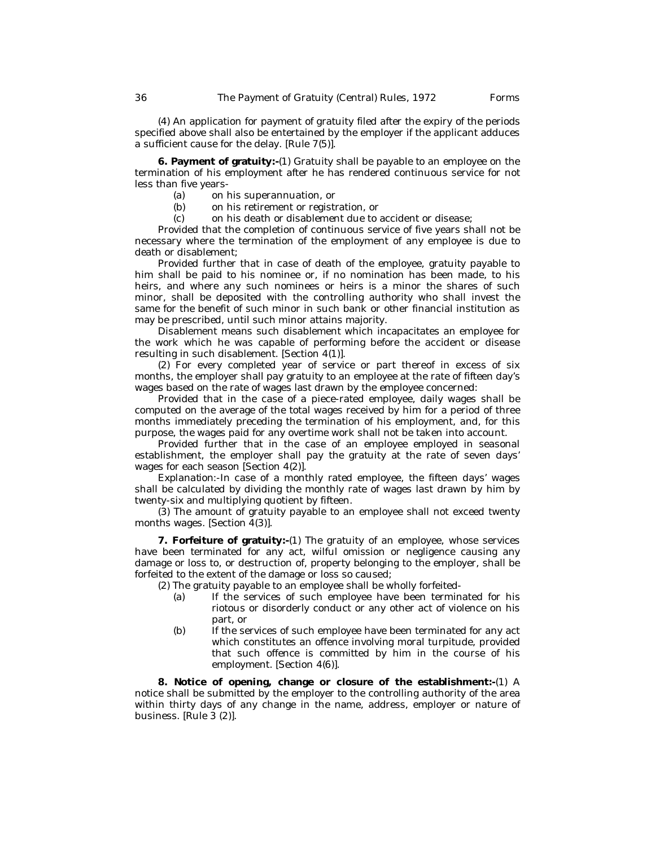(4) An application for payment of gratuity filed after the expiry of the periods specified above shall also be entertained by the employer if the applicant adduces a sufficient cause for the delay. [Rule 7(5)].

**6. Payment of gratuity:-**(1) Gratuity shall be payable to an employee on the termination of his employment after he has rendered continuous service for not less than five years-

- (a) on his superannuation, or
- (b) on his retirement or registration, or
- (c) on his death or disablement due to accident or disease;

Provided that the completion of continuous service of five years shall not be necessary where the termination of the employment of any employee is due to death or disablement;

Provided further that in case of death of the employee, gratuity payable to him shall be paid to his nominee or, if no nomination has been made, to his heirs, and where any such nominees or heirs is a minor the shares of such minor, shall be deposited with the controlling authority who shall invest the same for the benefit of such minor in such bank or other financial institution as may be prescribed, until such minor attains majority.

Disablement means such disablement which incapacitates an employee for the work which he was capable of performing before the accident or disease resulting in such disablement. [Section 4(1)].

(2) For every completed year of service or part thereof in excess of six months, the employer shall pay gratuity to an employee at the rate of fifteen day's wages based on the rate of wages last drawn by the employee concerned:

Provided that in the case of a piece-rated employee, daily wages shall be computed on the average of the total wages received by him for a period of three months immediately preceding the termination of his employment, and, for this purpose, the wages paid for any overtime work shall not be taken into account.

Provided further that in the case of an employee employed in seasonal establishment, the employer shall pay the gratuity at the rate of seven days' wages for each season [Section 4(2)].

*Explanation*:-In case of a monthly rated employee, the fifteen days' wages shall be calculated by dividing the monthly rate of wages last drawn by him by twenty-six and multiplying quotient by fifteen.

(3) The amount of gratuity payable to an employee shall not exceed twenty months wages. [Section 4(3)].

**7. Forfeiture of gratuity:-**(1) The gratuity of an employee, whose services have been terminated for any act, wilful omission or negligence causing any damage or loss to, or destruction of, property belonging to the employer, shall be forfeited to the extent of the damage or loss so caused;

(2) The gratuity payable to an employee shall be wholly forfeited-

- (a) If the services of such employee have been terminated for his riotous or disorderly conduct or any other act of violence on his part, or
- (b) If the services of such employee have been terminated for any act which constitutes an offence involving moral turpitude, provided that such offence is committed by him in the course of his employment. [Section 4(6)].

**8. Notice of opening, change or closure of the establishment:-**(1) A notice shall be submitted by the employer to the controlling authority of the area within thirty days of any change in the name, address, employer or nature of business. [Rule 3 (2)].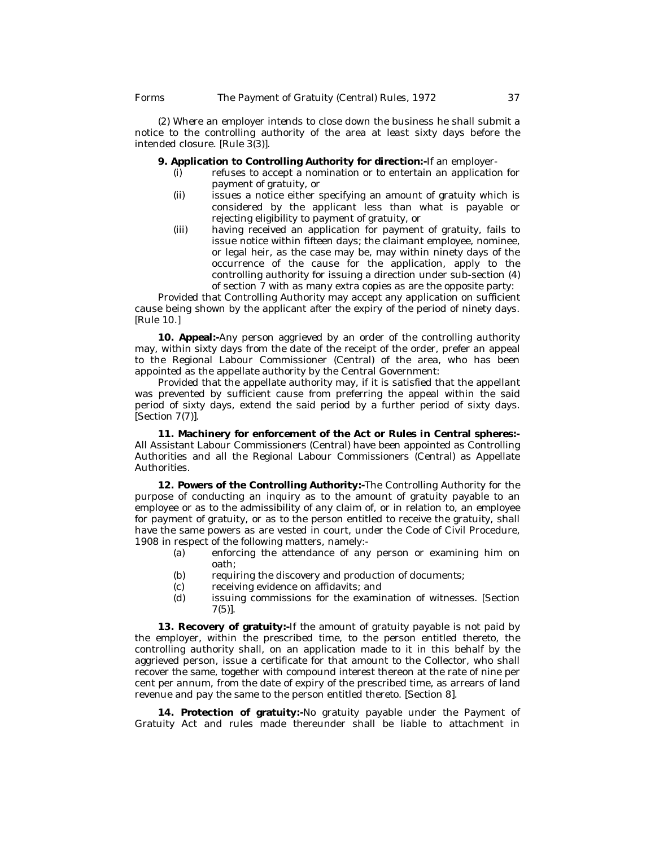(2) Where an employer intends to close down the business he shall submit a notice to the controlling authority of the area at least sixty days before the intended closure. [Rule 3(3)].

## **9. Application to Controlling Authority for direction:-**If an employer-

- (i) refuses to accept a nomination or to entertain an application for payment of gratuity, or
- (ii) issues a notice either specifying an amount of gratuity which is considered by the applicant less than what is payable or rejecting eligibility to payment of gratuity, or
- (iii) having received an application for payment of gratuity, fails to issue notice within fifteen days; the claimant employee, nominee, or legal heir, as the case may be, may within ninety days of the occurrence of the cause for the application, apply to the controlling authority for issuing a direction under sub-section (4) of section 7 with as many extra copies as are the opposite party:

Provided that Controlling Authority may accept any application on sufficient cause being shown by the applicant after the expiry of the period of ninety days. [Rule 10.]

**10. Appeal:-**Any person aggrieved by an order of the controlling authority may, within sixty days from the date of the receipt of the order, prefer an appeal to the Regional Labour Commissioner (Central) of the area, who has been appointed as the appellate authority by the Central Government:

Provided that the appellate authority may, if it is satisfied that the appellant was prevented by sufficient cause from preferring the appeal within the said period of sixty days, extend the said period by a further period of sixty days. [Section 7(7)].

**11. Machinery for enforcement of the Act or Rules in Central spheres:-** All Assistant Labour Commissioners (Central) have been appointed as Controlling Authorities and all the Regional Labour Commissioners (Central) as Appellate Authorities.

**12. Powers of the Controlling Authority:-**The Controlling Authority for the purpose of conducting an inquiry as to the amount of gratuity payable to an employee or as to the admissibility of any claim of, or in relation to, an employee for payment of gratuity, or as to the person entitled to receive the gratuity, shall have the same powers as are vested in court, under the Code of Civil Procedure, 1908 in respect of the following matters, namely:-

- (a) enforcing the attendance of any person or examining him on oath;
- (b) requiring the discovery and production of documents;
- (c) receiving evidence on affidavits; and
- (d) issuing commissions for the examination of witnesses. [Section 7(5)].

**13. Recovery of gratuity:-**If the amount of gratuity payable is not paid by the employer, within the prescribed time, to the person entitled thereto, the controlling authority shall, on an application made to it in this behalf by the aggrieved person, issue a certificate for that amount to the Collector, who shall recover the same, together with compound interest thereon at the rate of nine per cent per annum, from the date of expiry of the prescribed time, as arrears of land revenue and pay the same to the person entitled thereto. [Section 8].

**14. Protection of gratuity:-**No gratuity payable under the Payment of Gratuity Act and rules made thereunder shall be liable to attachment in